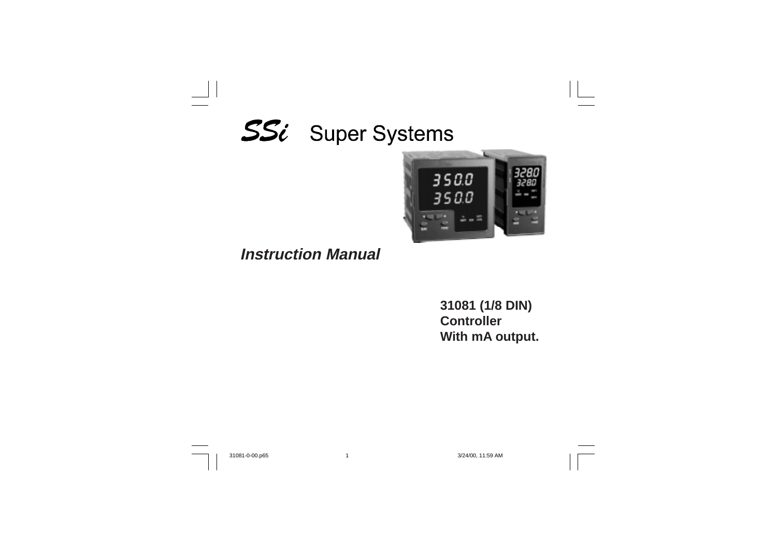





**Instruction Manual**

**31081 (1/8 DIN) Controller With mA output.**

|  | 3108 |
|--|------|
|  |      |
|  |      |
|  |      |
|  |      |

81-0-00.p65 1 3/24/00, 11:59 AM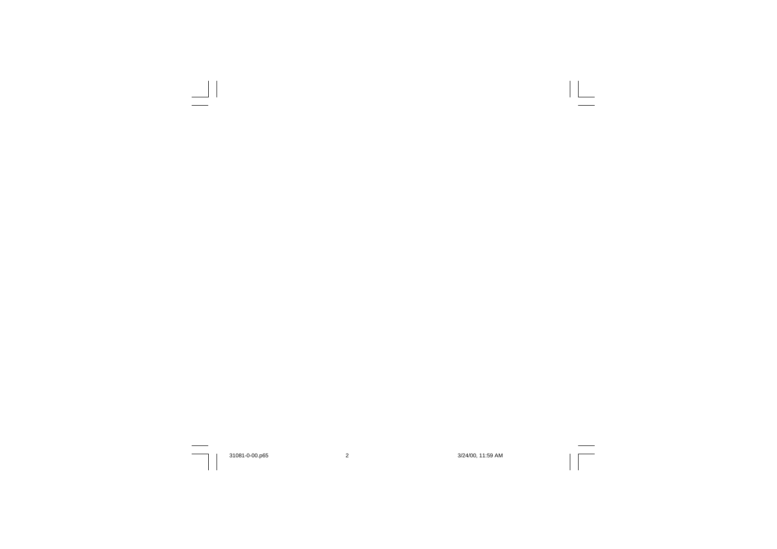$31081-0-00.$ p65 2 3/24/00, 11:59 AM

 $\Box$ l

 $\frac{1}{\sqrt{1-\frac{1}{2}}}$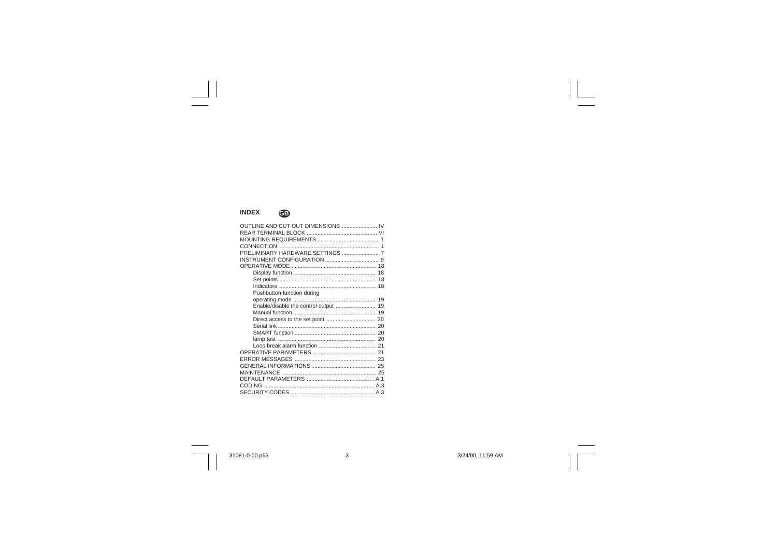#### **INDEX**  $\bigoplus$

 $\hfill\Box$ 

| OUTLINE AND CUT OUT DIMENSIONS  IV    |
|---------------------------------------|
|                                       |
|                                       |
|                                       |
|                                       |
|                                       |
|                                       |
|                                       |
|                                       |
|                                       |
| Pushbutton function during            |
|                                       |
| Enable/disable the control output  19 |
|                                       |
|                                       |
|                                       |
|                                       |
|                                       |
|                                       |
|                                       |
|                                       |
|                                       |
|                                       |
|                                       |
|                                       |
|                                       |

 $\begin{array}{c} \hline \hline \hline \hline \end{array}$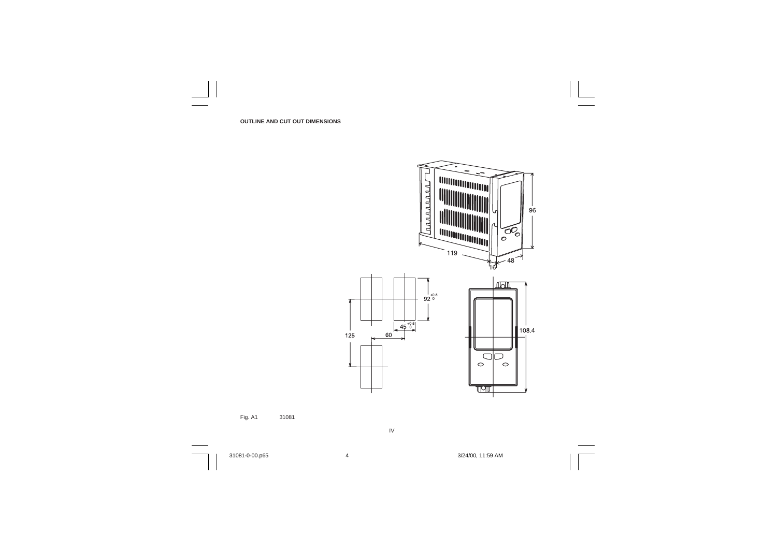

**POSTAGE OF THE MANUFACTURER** <u>haannann</u> 96 **MARK DESCRIPTION (PRODUCT)**  $\sigma_{\rm c}$  $\circ$ 119  $48$ 冏



Fig. A1 31081

IV

31081-0-00.p65 4 3/24/00, 11:59 AM

 $\sqrt{2}$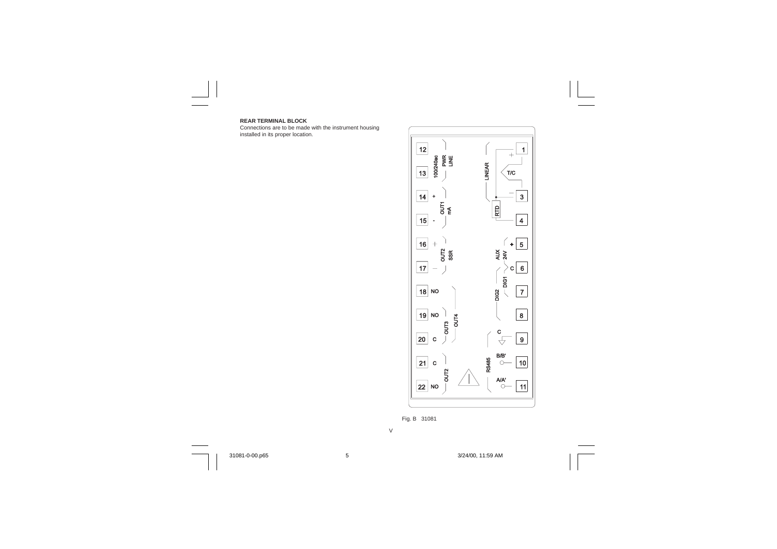**REAR TERMINAL BLOCK** Connections are to be made with the instrument housing installed in its proper location.





V

31081-0-00.p65 5 3/24/00, 11:59 AM

 $\sqrt{2}$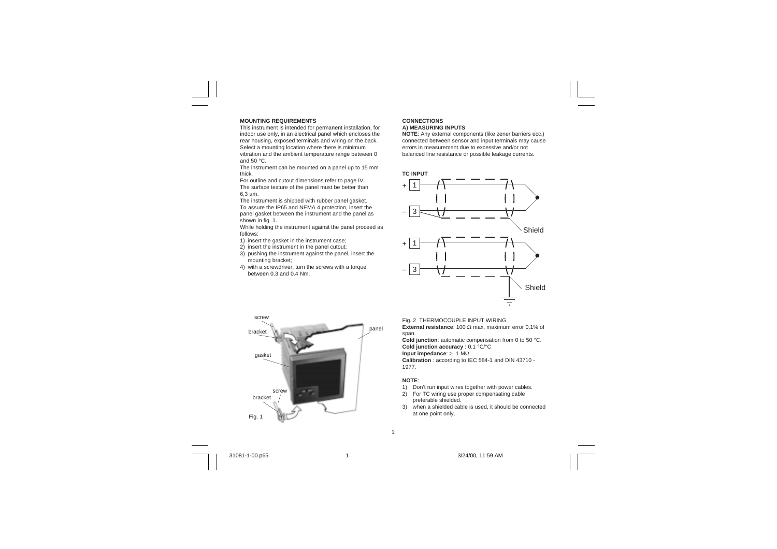#### **MOUNTING REQUIREMENTS**

This instrument is intended for permanent installation, for indoor use only, in an electrical panel which encloses the rear housing, exposed terminals and wiring on the back. Select a mounting location where there is minimum vibration and the ambient temperature range between 0 and 50 °C.

The instrument can be mounted on a panel up to 15 mm thick.

For outline and cutout dimensions refer to page IV. The surface texture of the panel must be better than 6.3 um.

The instrument is shipped with rubber panel gasket. To assure the IP65 and NEMA 4 protection, insert the panel gasket between the instrument and the panel as shown in fig. 1.

While holding the instrument against the panel proceed as follows:

- 1) insert the gasket in the instrument case;
- 2) insert the instrument in the panel cutout;
- 3) pushing the instrument against the panel, insert the mounting bracket;
- 4) with a screwdriver, turn the screws with a torque between 0.3 and 0.4 Nm.

#### **CONNECTIONS A) MEASURING INPUTS**

**NOTE**: Any external components (like zener barriers ecc.) connected between sensor and input terminals may cause errors in measurement due to excessive and/or not balanced line resistance or possible leakage currents.





Fig. 2 THERMOCOUPLE INPUT WIRING **External resistance**: 100  $\Omega$  max, maximum error 0,1% of span. **Cold junction**: automatic compensation from 0 to 50 °C. **Cold junction accuracy** : 0.1 °C/°C **Input impedance:**  $> 1$   $M\Omega$ **Calibration** : according to IEC 584-1 and DIN 43710 - 1977.

#### **NOTE**:

1

- 1) Don't run input wires together with power cables.
- 2) For TC wiring use proper compensating cable preferable shielded.
- 3) when a shielded cable is used, it should be connected at one point only.



31081-1-00.p65 1 3/24/00, 11:59 AM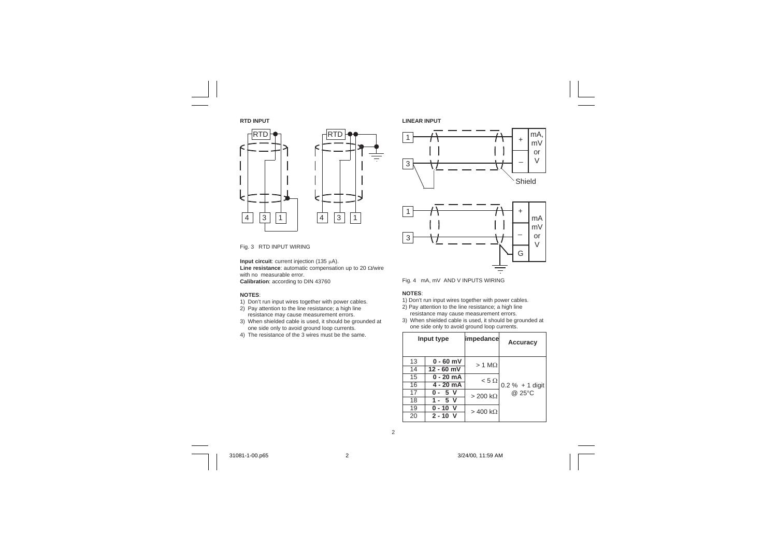

## **RTD INPUT**







**Input circuit**: current injection (135 µA). **Line resistance**: automatic compensation up to 20  $\Omega$ /wire with no measurable error. **Calibration**: according to DIN 43760

#### **NOTES**:

- 1) Don't run input wires together with power cables.
- 2) Pay attention to the line resistance; a high line resistance may cause measurement errors.
- 3) When shielded cable is used, it should be grounded at
- one side only to avoid ground loop currents. 4) The resistance of the 3 wires must be the same.

**LINEAR INPUT**





Fig. 4 mA, mV AND V INPUTS WIRING

#### **NOTES**:

- 1) Don't run input wires together with power cables. 2) Pay attention to the line resistance; a high line
- resistance may cause measurement errors.
- 3) When shielded cable is used, it should be grounded at one side only to avoid ground loop currents.

|    | impedance<br>Input type |                         | Accuracy           |  |
|----|-------------------------|-------------------------|--------------------|--|
| 13 | $0 - 60$ mV             | $> 1$ M $\Omega$        |                    |  |
| 14 | $12 - 60$ mV            |                         |                    |  |
| 15 | $0 - 20$ mA             | $< 5 \Omega$            |                    |  |
| 16 | $4 - 20$ mA             |                         | $0.2 \% + 1$ digit |  |
| 17 | 0-5V                    | $> 200 \text{ k}\Omega$ | @ 25°C             |  |
| 18 | $1 - 5V$                |                         |                    |  |
| 19 | $0 - 10 V$              | $> 400 \text{ k}\Omega$ |                    |  |
| 20 | $2 - 10 V$              |                         |                    |  |

2



31081-1-00.p65 2 3/24/00, 11:59 AM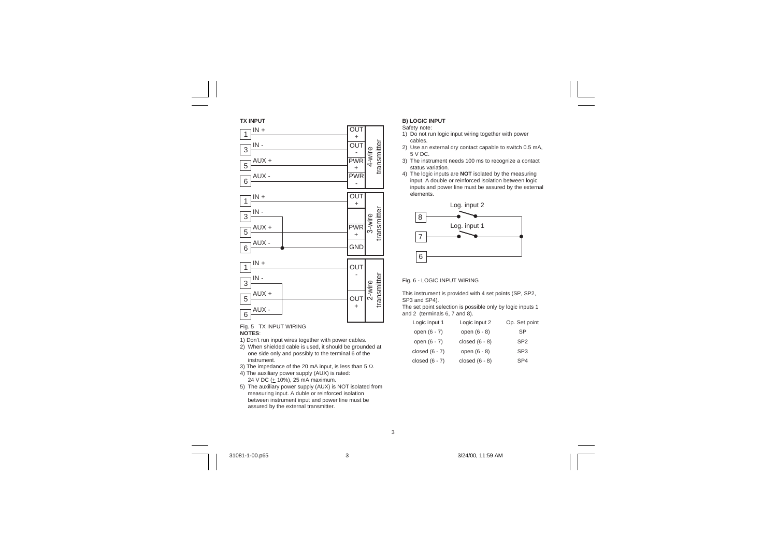#### **TX INPUT**  $\frac{1}{3}$   $\frac{1}{1}$  $1<sup>IN +</sup>$ 6 5 PWR  $+\frac{1}{\sqrt{2}}$ <br> $+\frac{1}{\sqrt{2}}$ transmitter **OUT** + OUT - PWR -AUX + AUX - 3  $1^{1N +}$ 6 5 PWR  $\frac{1}{\sqrt{3}}$ <br> $\frac{1}{\sqrt{3}}$ transmitter **TOUT**  $+$ GND IN - AUX + AUX - 3 1 6  $\frac{3}{5}$  AUX +<br> $\frac{1}{5}$  AUX +<br> $\frac{1}{5}$  aux +<br> $\frac{1}{5}$  aux +<br> $\frac{1}{5}$  aux +<br> $\frac{1}{5}$  aux + OUT OUT +  $IN +$ IN - AUX + AUX -

Fig. 5 TX INPUT WIRING

**NOTES**:

- 1) Don't run input wires together with power cables.
- 2) When shielded cable is used, it should be grounded at one side only and possibly to the terminal 6 of the
- instrument. 3) The impedance of the 20 mA input, is less than 5  $\Omega$ .
- 4) The auxiliary power supply (AUX) is rated:
	- 24 V DC  $(± 10%)$ , 25 mA maximum.
- 5) The auxiliary power supply (AUX) is NOT isolated from measuring input. A duble or reinforced isolation between instrument input and power line must be assured by the external transmitter.

#### **B) LOGIC INPUT** Safety note:

- 1) Do not run logic input wiring together with power
- cables.
- 2) Use an external dry contact capable to switch 0.5 mA, 5 V DC.
- 3) The instrument needs 100 ms to recognize a contact status variation.
- 4) The logic inputs are **NOT** isolated by the measuring input. A double or reinforced isolation between logic inputs and power line must be assured by the external elements.



#### Fig. 6 - LOGIC INPUT WIRING

This instrument is provided with 4 set points (SP, SP2, SP3 and SP4).

The set point selection is possible only by logic inputs 1 and 2 (terminals 6, 7 and 8).

| Logic input 1    | Logic input 2    | Op. Set point   |
|------------------|------------------|-----------------|
| open (6 - 7)     | open (6 - 8)     | SP              |
| open (6 - 7)     | closed $(6 - 8)$ | SP <sub>2</sub> |
| closed $(6 - 7)$ | open (6 - 8)     | SP <sub>3</sub> |
| closed $(6 - 7)$ | closed $(6 - 8)$ | SP <sub>4</sub> |

3

31081-1-00.p65 3 3/24/00, 11:59 AM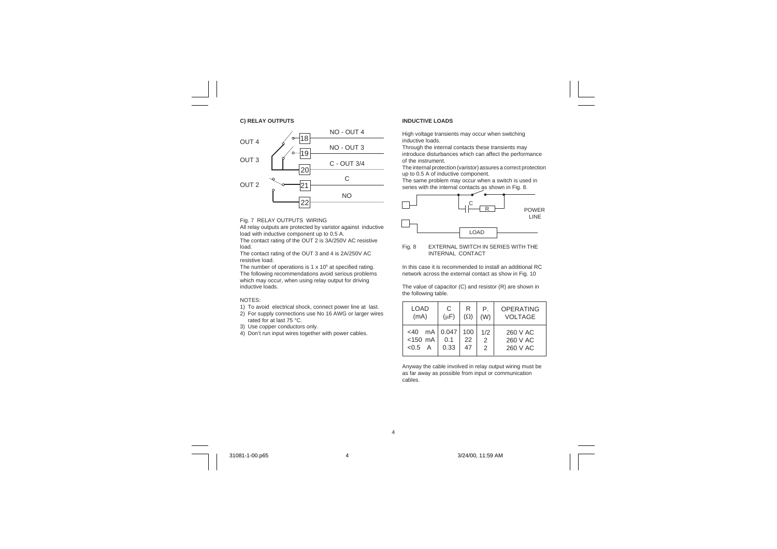**C) RELAY OUTPUTS**



Fig. 7 RELAY OUTPUTS WIRING

All relay outputs are protected by varistor against inductive load with inductive component up to 0.5 A. The contact rating of the OUT 2 is 3A/250V AC resistive load.

The contact rating of the OUT 3 and 4 is 2A/250V AC resistive load.

The number of operations is  $1 \times 10^5$  at specified rating. The following recommendations avoid serious problems which may occur, when using relay output for driving inductive loads.

#### NOTES:

- 1) To avoid electrical shock, connect power line at last. 2) For supply connections use No 16 AWG or larger wires
- rated for at last 75 °C.
- 3) Use copper conductors only.
- 4) Don't run input wires together with power cables.

#### **INDUCTIVE LOADS**

High voltage transients may occur when switching inductive loads. Through the internal contacts these transients may

introduce disturbances which can affect the performance of the instrument.

The internal protection (varistor) assures a correct protection up to 0.5 A of inductive component.

The same problem may occur when a switch is used in series with the internal contacts as shown in Fig. 8.



Fig. 8 EXTERNAL SWITCH IN SERIES WITH THE INTERNAL CONTACT

In this case it is recommended to install an additional RC network across the external contact as show in Fig. 10

The value of capacitor (C) and resistor (R) are shown in the following table.

| LOAD       | C              | R          | P   | <b>OPERATING</b> |
|------------|----------------|------------|-----|------------------|
| (mA)       | $(\mu F)$      | $(\Omega)$ | (W) | <b>VOLTAGE</b>   |
| $<$ 40     | $mA$ 0.047     | 100        | 1/2 | 260 V AC         |
| $<$ 150 mA | 0 <sub>1</sub> | 22         | 2   | 260 V AC         |
| < 0.5 A    | 0.33           | 47         | 2   | 260 V AC         |

Anyway the cable involved in relay output wiring must be as far away as possible from input or communication cables.

4

31081-1-00.p65 4 3/24/00, 11:59 AM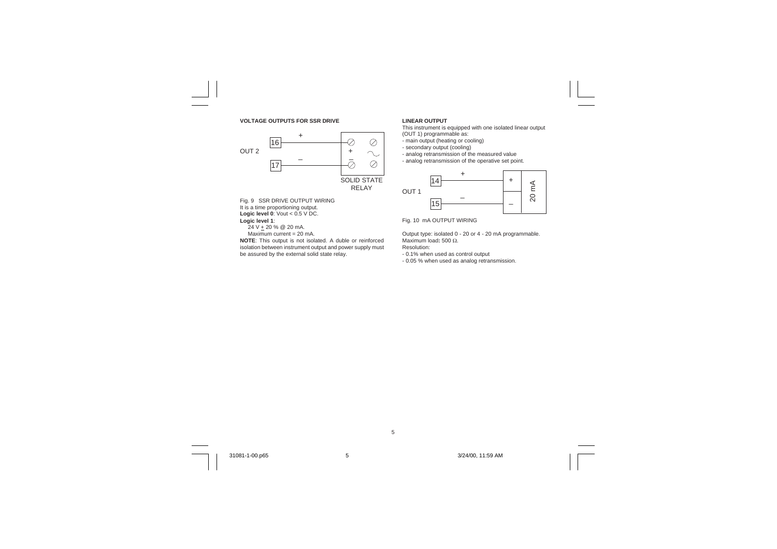#### **VOLTAGE OUTPUTS FOR SSR DRIVE**



Fig. 9 SSR DRIVE OUTPUT WIRING It is a time proportioning output. **Logic level 0**: Vout < 0.5 V DC. **Logic level 1**:  $24 V + 20 %$  @ 20 mA. Maximum current = 20 mA. **NOTE**: This output is not isolated. A duble or reinforced isolation between instrument output and power supply must be assured by the external solid state relay.

#### **LINEAR OUTPUT**

5

- This instrument is equipped with one isolated linear output (OUT 1) programmable as:
- 
- main output (heating or cooling) secondary output (cooling) analog retransmission of the measured value analog retransmission of the operative set point.
- 



Fig. 10 mA OUTPUT WIRING

Output type: isolated 0 - 20 or 4 - 20 mA programmable. Maximum load:  $500 \Omega$ . Resolution: - 0.1% when used as control output

- 0.05 % when used as analog retransmission.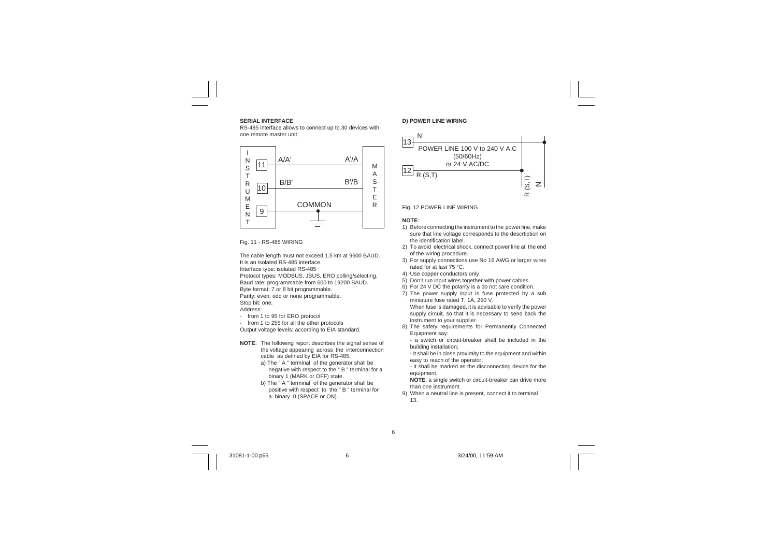#### **SERIAL INTERFACE**

RS-485 interface allows to connect up to 30 devices with one remote master unit.



#### Fig. 11 - RS-485 WIRING

The cable length must not exceed 1.5 km at 9600 BAUD. It is an isolated RS-485 interface. Interface type: isolated RS-485 Protocol types: MODBUS, JBUS, ERO polling/selecting. Baud rate: programmable from 600 to 19200 BAUD. Byte format: 7 or 8 bit programmable. Parity: even, odd or none programmable. Stop bit: one.

- Address:
- from 1 to 95 for ERO protocol
- from 1 to 255 for all the other protocols
- Output voltage levels: according to EIA standard.
- **NOTE**: The following report describes the signal sense of the voltage appearing across the interconnection cable as defined by EIA for RS-485. a) The " A " terminal of the generator shall be negative with respect to the " B " terminal for a binary 1 (MARK or OFF) state.
	- b) The " A " terminal of the generator shall be positive with respect to the " B " terminal for a binary 0 (SPACE or ON).

#### **D) POWER LINE WIRING**



Fig. 12 POWER LINE WIRING

#### **NOTE**:

- 1) Before connecting the instrument to the power line, make sure that line voltage corresponds to the descrtiption on the identification label.
- 2) To avoid electrical shock, connect power line at the end of the wiring procedure.
- 3) For supply connections use No 16 AWG or larger wires rated for at last 75 °C.
- 4) Use copper conductors only.
- 5) Don't run input wires together with power cables.
- 6) For 24 V DC the polarity is a do not care condition. 7) The power supply input is fuse protected by a sub
- miniature fuse rated T, 1A, 250 V. When fuse is damaged, it is advisable to verify the power supply circuit, so that it is necessary to send back the instrument to your supplier.
- 8) The safety requirements for Permanently Connected Equipment say:
- a switch or circuit-breaker shall be included in the building installation;
- It shall be in close proximity to the equipment and within easy to reach of the operator;
- it shall be marked as the disconnecting device for the equipment.
- **NOTE**: a single switch or circuit-breaker can drive more than one instrument.
- 9) When a neutral line is present, connect it to terminal 13.

#### 6

31081-1-00.p65 6 3/24/00, 11:59 AM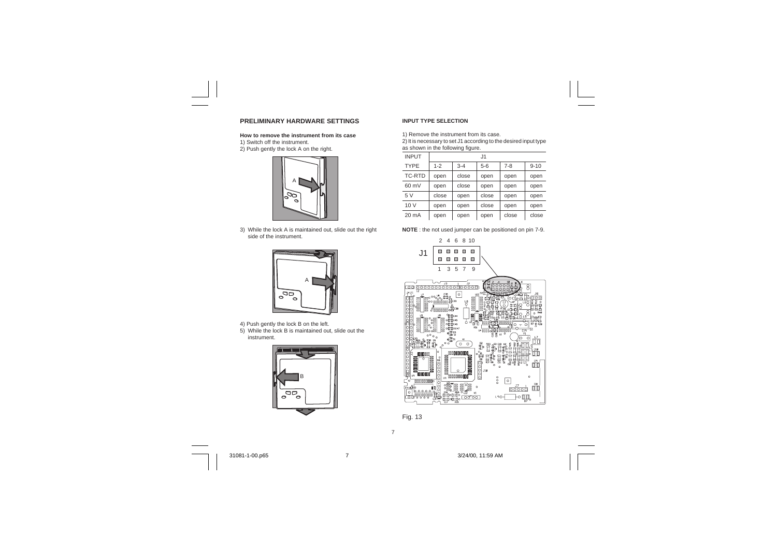#### **PRELIMINARY HARDWARE SETTINGS**

**How to remove the instrument from its case** 1) Switch off the instrument. 2) Push gently the lock A on the right.



3) While the lock A is maintained out, slide out the right side of the instrument.



4) Push gently the lock B on the left. 5) While the lock B is maintained out, slide out the instrument.



#### **INPUT TYPE SELECTION**

1) Remove the instrument from its case. 2) It is necessary to set J1 according to the desired input type as shown in the following figure.

| <b>INPUT</b>  |         |         | J <sub>1</sub> |         |          |
|---------------|---------|---------|----------------|---------|----------|
| <b>TYPE</b>   | $1 - 2$ | $3 - 4$ | $5 - 6$        | $7 - 8$ | $9 - 10$ |
| <b>TC-RTD</b> | open    | close   | open           | open    | open     |
| 60 mV         | open    | close   | open           | open    | open     |
| 5 V           | close   | open    | close          | open    | open     |
| 10V           | open    | open    | close          | open    | open     |
| 20 mA         | open    | open    | open           | close   | close    |

**NOTE** : the not used jumper can be positioned on pin 7-9.



Fig. 13

7

31081-1-00.p65 7 3/24/00, 11:59 AM

റ്ററി

 $\mathfrak{so}\longrightarrow$  only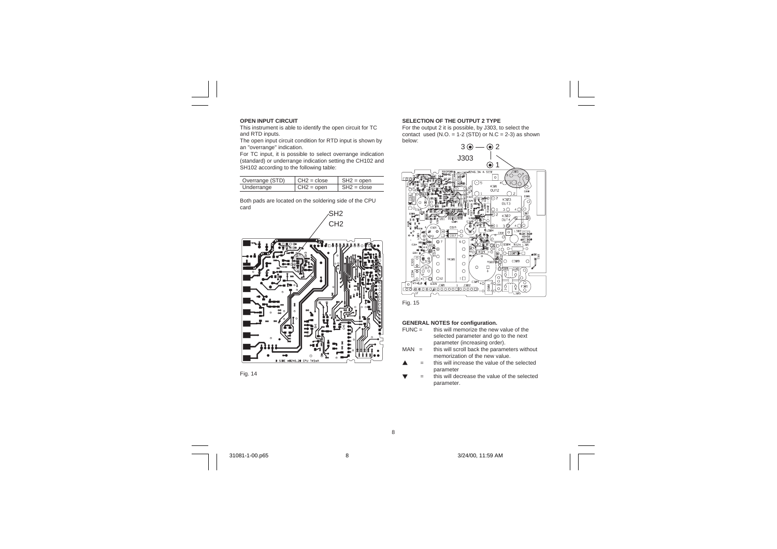#### **OPEN INPUT CIRCUIT**

This instrument is able to identify the open circuit for TC and RTD inputs.

The open input circuit condition for RTD input is shown by an "overrange" indication.

For TC input, it is possible to select overrange indication (standard) or underrange indication setting the CH102 and SH102 according to the following table:

| Overrange (STD) | $CH2 = close$ | $SH2 = open$  |
|-----------------|---------------|---------------|
| Underrange      | $CH2 = open$  | $SH2 = close$ |

Both pads are located on the soldering side of the CPU card



Fig. 14

#### **SELECTION OF THE OUTPUT 2 TYPE**

For the output 2 it is possible, by J303, to select the contact used (N.O. = 1-2 (STD) or N.C = 2-3) as shown



Fig. 15

- **GENERAL NOTES for configuration.**<br>FUNC = this will memorize the new value of the selected parameter and go to the next parameter (increasing order). MAN = this will scroll back the parameters without
- memorization of the new value.
- $\triangle$  = this will increase the value of the selected parameter
- $\bullet$  = this will decrease the value of the selected parameter.

8

#### 31081-1-00.p65 8 3/24/00, 11:59 AM

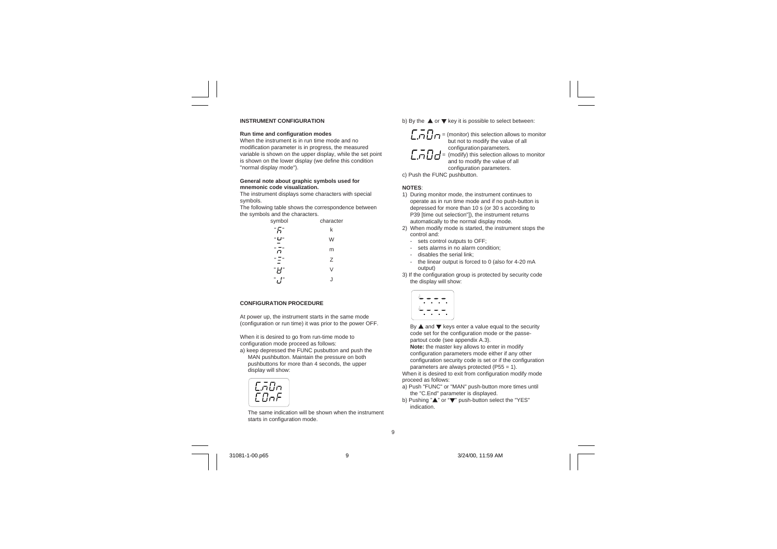#### **INSTRUMENT CONFIGURATION**

#### **Run time and configuration modes**

When the instrument is in run time mode and no modification parameter is in progress, the measured variable is shown on the upper display, while the set point is shown on the lower display (we define this condition "normal display mode").

#### **General note about graphic symbols used for mnemonic code visualization.**

The instrument displays some characters with special symbols.

The following table shows the correspondence between the symbols and the characters.

| symbol                             | character |
|------------------------------------|-----------|
| "ธิ"                               | k         |
| ى س                                | W         |
| "คิ"                               | m         |
| $\overline{\phantom{a}}$ .         | Z         |
| "H"                                | \/        |
| $\mathbf{m}_\perp$<br>$\mathbf{I}$ | . I       |

#### **CONFIGURATION PROCEDURE**

At power up, the instrument starts in the same mode (configuration or run time) it was prior to the power OFF.

When it is desired to go from run-time mode to configuration mode proceed as follows:

a) keep depressed the FUNC pusbutton and push the MAN pushbutton. Maintain the pressure on both pushbuttons for more than 4 seconds, the upper display will show:



The same indication will be shown when the instrument starts in configuration mode.

b) By the  $\triangle$  or  $\nabla$  key it is possible to select between:



 $\overrightarrow{a}$   $\overrightarrow{b}$  = (monitor) this selection allows to monitor but not to modify the value of all configuration parameters. = (modify) this selection allows to monitor and to modify the value of all configuration parameters.

c) Push the FUNC pushbutton.

#### **NOTES**:

- 1) During monitor mode, the instrument continues to operate as in run time mode and if no push-button is depressed for more than 10 s (or 30 s according to P39 [time out selection"]), the instrument returns automatically to the normal display mode.
- 2) When modify mode is started, the instrument stops the control and:
	- sets control outputs to OFF;
- sets alarms in no alarm condition;
- disables the serial link;
- the linear output is forced to 0 (also for 4-20 mA output)
- 3) If the configuration group is protected by security code the display will show:



9

By  $\blacktriangle$  and  $\nabla$  keys enter a value equal to the security code set for the configuration mode or the passepartout code (see appendix A.3). **Note:** the master key allows to enter in modify configuration parameters mode either if any other configuration security code is set or if the configuration parameters are always protected (P55 = 1). When it is desired to exit from configuration modify mode proceed as follows: a) Push "FUNC" or "MAN" push-button more times until the "C.End" parameter is displayed.

b) Pushing " $\blacktriangle$ " or " $\nabla$ " push-button select the "YES" indication.

31081-1-00.p65 9 3/24/00, 11:59 AM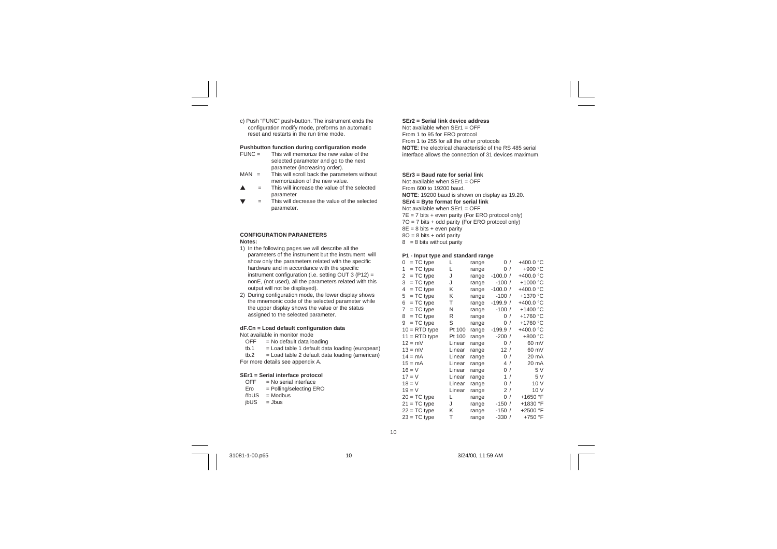c) Push "FUNC" push-button. The instrument ends the configuration modify mode, preforms an automatic reset and restarts in the run time mode.

#### **Pushbutton function during configuration mode**

- $FLINC =$  This will memorize the new value of the selected parameter and go to the next parameter (increasing order).
- $MAN =$  This will scroll back the parameters without memorization of the new value.
- $\triangle$  = This will increase the value of the selected parameter
- $\blacktriangledown$  = This will decrease the value of the selected parameter.

#### **CONFIGURATION PARAMETERS Notes:**

- 1) In the following pages we will describe all the parameters of the instrument but the instrument will show only the parameters related with the specific hardware and in accordance with the specific instrument configuration (i.e. setting OUT 3 (P12) = nonE, (not used), all the parameters related with this output will not be displayed).
- 2) During configuration mode, the lower display shows the mnemonic code of the selected parameter while the upper display shows the value or the status assigned to the selected parameter.

#### **dF.Cn = Load default configuration data**

Not available in monitor mode

- $OFF = No$  default data loading
- $tb.1 =$  Load table 1 default data loading (european)  $tb.2 =$  Load table 2 default data loading (american)
- For more details see appendix A.

## **SEr1 = Serial interface protocol**

 $OFF = No$  serial interface Ero = Polling/selecting ERO  $ñbUS = Modbus$ jbUS = Jbus

#### **SEr2 = Serial link device address**

Not available when SEr1 = OFF From 1 to 95 for ERO protocol From 1 to 255 for all the other protocols **NOTE**: the electrical characteristic of the RS 485 serial interface allows the connection of 31 devices maximum.

#### **SEr3 = Baud rate for serial link**

Not available when SEr1 = OFF From 600 to 19200 baud. **NOTE**: 19200 baud is shown on display as 19.20. **SEr4 = Byte format for serial link** Not available when SEr1 = OFF 7E = 7 bits + even parity (For ERO protocol only)  $70 = 7$  bits + odd parity (For ERO protocol only)  $8E = 8$  bits + even parity  $8O = 8$  bits + odd parity  $8 = 8$  bits without parity

#### **P1 - Input type and standard range**

| $= TC$ type<br>0              | L      | range | 0/            | +400.0 °C  |
|-------------------------------|--------|-------|---------------|------------|
| $= TC$ type<br>1              | L      | range | 0/            | +900 °C    |
| $= TC$ type<br>2              | J      | range | $-100.0 /$    | +400.0 °C  |
| 3<br>$= TC$ type              | J      | range | $-100/$       | +1000 $°C$ |
| $\overline{4}$<br>$= TC$ type | Κ      | range | $-100.0 /$    | +400.0 °C  |
| 5<br>$= TC$ type              | Κ      | range | $-100/$       | +1370 °C   |
| $= TC$ type<br>6              | T      | range | $-199.9/$     | +400.0 °C  |
| $= TC$ type<br>7              | Ν      | range | $-100/$       | +1400 °C   |
| $= TC$ type<br>8              | R      | range | 0/            | +1760 °C   |
| $= TC$ type<br>9              | S      | range | 0<br>$\prime$ | +1760 °C   |
| $10 = RTD$ type               | Pt 100 | range | $-199.9/$     | +400.0 °C  |
| $11 = RTD$ type               | Pt 100 | range | $-200/$       | +800 °C    |
| $12 = mV$                     | Linear | range | 0/            | 60 mV      |
| $13 = mV$                     | Linear | range | 12/           | 60 mV      |
| $14 = mA$                     | Linear | range | 0/            | 20 mA      |
| $15 = mA$                     | Linear | range | 4/            | 20 mA      |
| $16 = V$                      | Linear | range | 0/            | 5 V        |
| $17 = V$                      | Linear | range | 1/            | 5 V        |
| $18 = V$                      | Linear | range | 0/            | 10 V       |
| $19 = V$                      | Linear | range | 2/            | 10 V       |
| $20 = TC$ type                | L      | range | 0/            | +1650 °F   |
| $21 = TC$ type                | J      | range | $-150/$       | +1830 °F   |
| $22 = TC$ type                | κ      | range | $-150/$       | +2500 °F   |
| $23 = TC$ type                | T      | range | $-330/$       | +750 °F    |

10

31081-1-00.p65 10 3/24/00, 11:59 AM

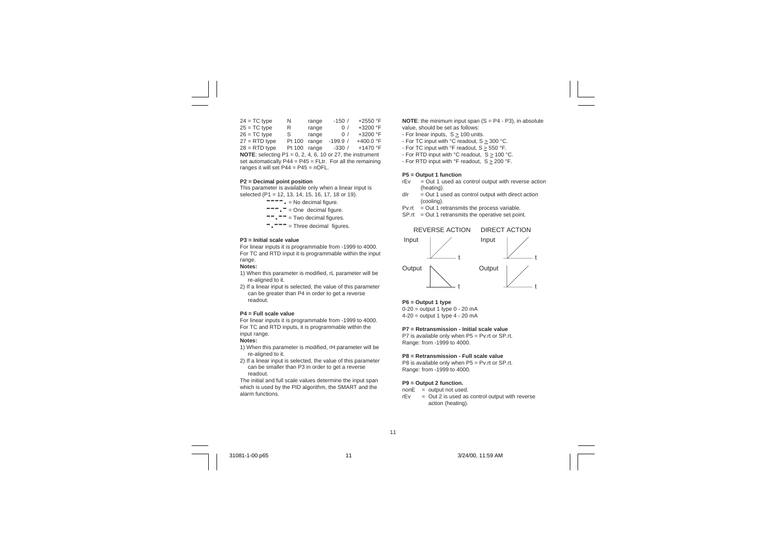24 = TC type N range -150 / +2550 °F  $25 = TC$  type R range 0 /  $+3200$  °F<br> $26 = TC$  type S range 0 /  $+3200$  °F  $26 = TC$  type S range 27 = RTD type Pt 100 range -199.9 / +400.0 °F 28 = RTD type Pt 100 range -330 / +1470 °F **NOTE:** selecting  $P1 = 0, 2, 4, 6, 10$  or 27, the instrument set automatically  $P44 = P45 = F$ Ltr. For all the remaining ranges it will set  $P44 = P45 = n$ OFL.

#### **P2 = Decimal point position**

This parameter is available only when a linear input is selected (P1 = 12, 13, 14, 15, 16, 17, 18 or 19).

- $---$ . = No decimal figure.
- $--- -$  = One decimal figure.
- $--- - -$  = Two decimal figures.
- $-$ .  $-$  = Three decimal figures.

#### **P3 = Initial scale value**

For linear inputs it is programmable from -1999 to 4000. For TC and RTD input it is programmable within the input range.

**Notes:**

1) When this parameter is modified, rL parameter will be re-aligned to it.

2) If a linear input is selected, the value of this parameter can be greater than P4 in order to get a reverse readout.

#### **P4 = Full scale value**

For linear inputs it is programmable from -1999 to 4000. For TC and RTD inputs, it is programmable within the input range.

**Notes:**

- 1) When this parameter is modified, rH parameter will be re-aligned to it.
- 2) If a linear input is selected, the value of this parameter can be smaller than P3 in order to get a reverse readout.

The initial and full scale values determine the input span which is used by the PID algorithm, the SMART and the alarm functions.

**NOTE**: the minimum input span (S = P4 - P3), in absolute value, should be set as follows: - For linear inputs, S > 100 units.

- For TC input with °C readout, S > 300 °C.
- For TC input with  ${}^{\circ}$ F readout, S  $\geq$  550  ${}^{\circ}$ F.
- For RTD input with °C readout, S > 100 °C.
- For RTD input with  ${}^{\circ}$ F readout,  $S > 200$   ${}^{\circ}$ F.

#### **P5 = Output 1 function**

- $rEv = Out 1$  used as control output with reverse action (heating).
- $dir = Out 1$  used as control output with direct action (cooling).
- $Pv.r$ t = Out 1 retransmits the process variable.
- $SP.rt = Out 1$  retransmits the operative set point.

#### REVERSE ACTION DIRECT ACTION



#### **P6 = Output 1 type**

 $0 - 20 =$  output 1 type  $0 - 20$  mA  $4 - 20 =$  output 1 type  $4 - 20$  mA

#### **P7 = Retransmission - Initial scale value**

P7 is available only when P5 = Pv.rt or SP.rt. Range: from -1999 to 4000.

#### **P8 = Retransmission - Full scale value**

P8 is available only when P5 = Pv.rt or SP.rt. Range: from -1999 to 4000.

#### **P9 = Output 2 function.**

 $none = output not used.$ 

11

 $rEv$  = Out 2 is used as control output with reverse action (heating).

31081-1-00.p65 11 3/24/00, 11:59 AM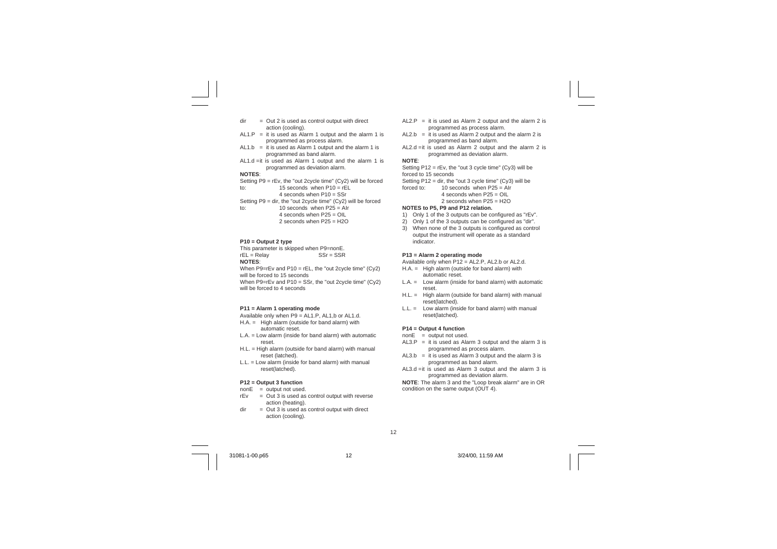- $dir = Out 2$  is used as control output with direct action (cooling).
- AL1.P = it is used as Alarm 1 output and the alarm 1 is programmed as process alarm.
- $AL1.b = it is used as Alarm 1 output and the alarm 1 is$ programmed as band alarm.
- AL1.d =it is used as Alarm 1 output and the alarm 1 is programmed as deviation alarm.

#### **NOTES**:

- Setting P9 = rEv, the "out 2cycle time" (Cy2) will be forced to:<br> $15$  seconds when P10 = rFI 15 seconds when  $P10 = rEL$
- 4 seconds when  $P10 = SST$
- Setting P9 = dir, the "out 2cycle time" (Cy2) will be forced to: 10 seconds when P25 = AIr
	- 4 seconds when  $P25 = OIL$ 2 seconds when P25 = H2O

#### **P10 = Output 2 type**

This parameter is skipped when P9=nonE. rEL = Relay SSr = SSR **NOTES**: When P9=rEv and P10 = rEL, the "out 2cycle time" (Cy2) will be forced to 15 seconds When P9=rEv and P10 = SSr, the "out 2cycle time" (Cy2) will be forced to 4 seconds

#### **P11 = Alarm 1 operating mode**

- Available only when  $P9 = AL1.P$ , AL1, b or AL1.d.
- H.A. = High alarm (outside for band alarm) with automatic reset.
- L.A. = Low alarm (inside for band alarm) with automatic reset.
- H.L. = High alarm (outside for band alarm) with manual reset (latched).
- L.L. = Low alarm (inside for band alarm) with manual reset(latched).

#### **P12 = Output 3 function**

- $none = output not used.$
- $rEv$  = Out 3 is used as control output with reverse action (heating).
- $dir = Out 3$  is used as control output with direct action (cooling).
- $AL2.P = it is used as Alarm 2 output and the alarm 2 is$ programmed as process alarm. AL2.b = it is used as Alarm 2 output and the alarm 2 is
- programmed as band alarm.
- AL2.d =it is used as Alarm 2 output and the alarm 2 is programmed as deviation alarm. **NOTE**:

- Setting P12 = rEv, the "out 3 cycle time" (Cy3) will be forced to 15 seconds
- Setting P12 = dir, the "out 3 cycle time" (Cy3) will be forced to:  $10$  seconds when P25 = AIr 10 seconds when  $P25 = \text{Alr}$ 4 seconds when P25 = OIL 2 seconds when P25 = H2O

#### **NOTES to P5, P9 and P12 relation.**

- 1) Only 1 of the 3 outputs can be configured as "rEv".
- 2) Only 1 of the 3 outputs can be configured as "dir".
- 3) When none of the 3 outputs is configured as control output the instrument will operate as a standard indicator.

#### **P13 = Alarm 2 operating mode**

Available only when P12 = AL2.P, AL2.b or AL2.d. H.A. = High alarm (outside for band alarm) with automatic reset.

- L.A. = Low alarm (inside for band alarm) with automatic reset.
- H.L. = High alarm (outside for band alarm) with manual reset(latched).
- $L.L. =$  Low alarm (inside for band alarm) with manual reset(latched).

## **P14 = Output 4 function**

- $none = output not used.$
- AL3.P = it is used as Alarm 3 output and the alarm 3 is programmed as process alarm.
- $AL3.b = it$  is used as Alarm 3 output and the alarm 3 is programmed as band alarm.
- AL3.d =it is used as Alarm 3 output and the alarm 3 is programmed as deviation alarm.

**NOTE**: The alarm 3 and the "Loop break alarm" are in OR condition on the same output (OUT 4).

12

31081-1-00.p65 12 3/24/00, 11:59 AM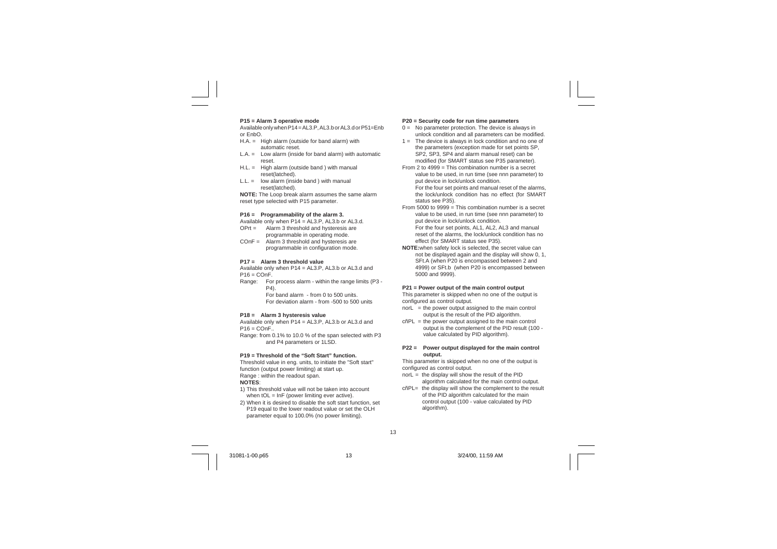#### **P15 = Alarm 3 operative mode**

Available only when P14 = AL3.P, AL3.b or AL3.d or P51=Enb or EnbO.

- H.A. = High alarm (outside for band alarm) with automatic reset.
- $L.A. =$  Low alarm (inside for band alarm) with automatic reset.
- H.L. = High alarm (outside band ) with manual reset(latched).
- $L.L. =$  low alarm (inside band ) with manual reset(latched).

**NOTE:** The Loop break alarm assumes the same alarm reset type selected with P15 parameter.

#### **P16 = Programmability of the alarm 3.**

Available only when P14 = AL3.P, AL3.b or AL3.d. OPrt = Alarm 3 threshold and hysteresis are

- programmable in operating mode. COnF = Alarm 3 threshold and hysteresis are
- programmable in configuration mode.

#### **P17 = Alarm 3 threshold value**

Available only when P14 = AL3.P, AL3.b or AL3.d and  $P16 = COPF$ 

- Range: For process alarm within the range limits (P3  $P(4)$ For band alarm - from 0 to 500 units.
	- For deviation alarm from -500 to 500 units

#### **P18 = Alarm 3 hysteresis value**

Available only when P14 = AL3.P, AL3.b or AL3.d and  $P16 = COMF.$ 

Range: from 0.1% to 10.0 % of the span selected with P3 and P4 parameters or 1LSD.

#### **P19 = Threshold of the "Soft Start" function.**

Threshold value in eng. units, to initiate the "Soft start" function (output power limiting) at start up. Range : within the readout span. **NOTES**:

- 1) This threshold value will not be taken into account when  $tOL = InF$  (power limiting ever active).
- 2) When it is desired to disable the soft start function, set P19 equal to the lower readout value or set the OLH parameter equal to 100.0% (no power limiting).

#### **P20 = Security code for run time parameters**

- 0 = No parameter protection. The device is always in unlock condition and all parameters can be modified.
- $1 =$  The device is always in lock condition and no one of the parameters (exception made for set points SP, SP2, SP3, SP4 and alarm manual reset) can be modified (for SMART status see P35 parameter).
- From 2 to 4999 = This combination number is a secret value to be used, in run time (see nnn parameter) to put device in lock/unlock condition. For the four set points and manual reset of the alarms, the lock/unlock condition has no effect (for SMART status see P35).
- From 5000 to  $9999 =$  This combination number is a secret value to be used, in run time (see nnn parameter) to put device in lock/unlock condition. For the four set points, AL1, AL2, AL3 and manual reset of the alarms, the lock/unlock condition has no
- effect (for SMART status see P35). **NOTE:**when safety lock is selected, the secret value can not be displayed again and the display will show 0, 1, SFt.A (when P20 is encompassed between 2 and 4999) or SFt.b (when P20 is encompassed between 5000 and 9999).

#### **P21 = Power output of the main control output**

This parameter is skipped when no one of the output is configured as control output.

- $n$ orL = the power output assigned to the main control output is the result of the PID algorithm.
- cñPL <sup>=</sup> the power output assigned to the main control output is the complement of the PID result (100 value calculated by PID algorithm).

#### **P22 = Power output displayed for the main control output.**

This parameter is skipped when no one of the output is configured as control output.  $n$ or $L =$  the display will show the result of the PID

- algorithm calculated for the main control output.
- cñPL= the display will show the complement to the result of the PID algorithm calculated for the main control output (100 - value calculated by PID algorithm).

13

31081-1-00.p65 13 3/24/00, 11:59 AM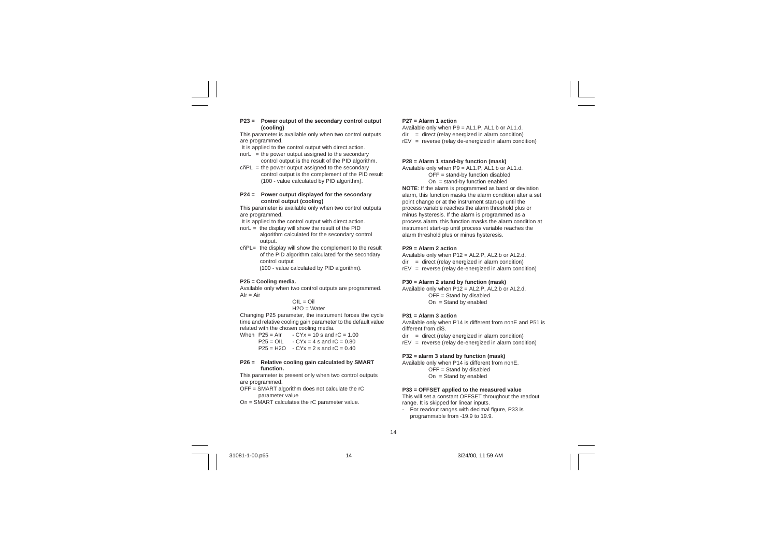#### **P23 = Power output of the secondary control output (cooling)**

This parameter is available only when two control outputs are programmed.

It is applied to the control output with direct action. nor $L =$  the power output assigned to the secondary

control output is the result of the PID algorithm.  $cñPL$  = the power output assigned to the secondary control output is the complement of the PID result

(100 - value calculated by PID algorithm).

#### **P24 = Power output displayed for the secondary control output (cooling)**

This parameter is available only when two control outputs are programmed.

It is applied to the control output with direct action.

norL <sup>=</sup> the display will show the result of the PID algorithm calculated for the secondary control

output.

cñPL= the display will show the complement to the result of the PID algorithm calculated for the secondary control output (100 - value calculated by PID algorithm).

#### **P25 = Cooling media.**

Available only when two control outputs are programmed.  $Alr = Air$  $OIL = Oil$ 

H2O = Water

Changing P25 parameter, the instrument forces the cycle time and relative cooling gain parameter to the default value related with the chosen cooling media.

When  $P25 = Alr - CYx = 10$  s and  $rC = 1.00$  $P25 = OIL - CYx = 4 s and rC = 0.80$  $P25 = H2O - CYx = 2 s$  and  $rC = 0.40$ 

#### **P26 = Relative cooling gain calculated by SMART function.**

This parameter is present only when two control outputs are programmed. OFF = SMART algorithm does not calculate the rC parameter value On = SMART calculates the rC parameter value.

#### **P27 = Alarm 1 action**

Available only when P9 = AL1.P, AL1.b or AL1.d.  $dir = direct (relay *energized* in alarm condition)$  $rEV =$  reverse (relay de-energized in alarm condition)

#### **P28 = Alarm 1 stand-by function (mask)**

Available only when P9 = AL1.P, AL1.b or AL1.d. OFF = stand-by function disabled  $On = stand-bv$  function enabled **NOTE**: If the alarm is programmed as band or deviation alarm, this function masks the alarm condition after a set point change or at the instrument start-up until the process variable reaches the alarm threshold plus or minus hysteresis. If the alarm is programmed as a process alarm, this function masks the alarm condition at instrument start-up until process variable reaches the alarm threshold plus or minus hysteresis.

#### **P29 = Alarm 2 action**

Available only when P12 = AL2.P, AL2.b or AL2.d.  $dir = direct (relay \, energized \, in \, alarm \, condition)$  $rEV$  = reverse (relay de-energized in alarm condition)

#### **P30 = Alarm 2 stand by function (mask)**

Available only when P12 = AL2.P, AL2.b or AL2.d.  $OFF =$  Stand by disabled On = Stand by enabled

#### **P31 = Alarm 3 action**

Available only when P14 is different from nonE and P51 is different from diS. dir <sup>=</sup> direct (relay energized in alarm condition)  $rEV =$  reverse (relay de-energized in alarm condition)

#### **P32 = alarm 3 stand by function (mask)**

Available only when P14 is different from nonE.  $OFF =$  Stand by disabled On = Stand by enabled

#### **P33 = OFFSET applied to the measured value**

This will set a constant OFFSET throughout the readout range. It is skipped for linear inputs. - For readout ranges with decimal figure, P33 is programmable from -19.9 to 19.9.

14

31081-1-00.p65 14 3/24/00, 11:59 AM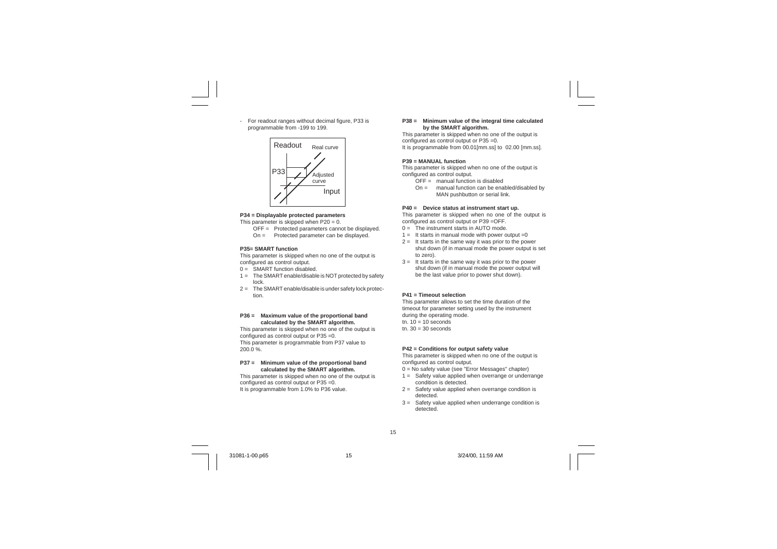#### - For readout ranges without decimal figure, P33 is programmable from -199 to 199.



#### **P34 = Displayable protected parameters**

This parameter is skipped when P20 = 0.

- OFF = Protected parameters cannot be displayed. On = Protected parameter can be displayed.
- 

#### **P35= SMART function**

This parameter is skipped when no one of the output is configured as control output.

- 0 = SMART function disabled.
- 1 = The SMART enable/disable is NOT protected by safety lock.
- 2 = The SMART enable/disable is under safety lock protection.

#### **P36 = Maximum value of the proportional band calculated by the SMART algorithm.**

This parameter is skipped when no one of the output is configured as control output or P35 =0. This parameter is programmable from P37 value to 200.0 %.

#### **P37 = Minimum value of the proportional band calculated by the SMART algorithm.**

This parameter is skipped when no one of the output is configured as control output or P35 =0. It is programmable from 1.0% to P36 value.

#### **P38 = Minimum value of the integral time calculated by the SMART algorithm.**

This parameter is skipped when no one of the output is configured as control output or P35 =0. It is programmable from 00.01[mm.ss] to 02.00 [mm.ss].

#### **P39 = MANUAL function**

This parameter is skipped when no one of the output is configured as control output.

- $OFF =$  manual function is disabled
- On = manual function can be enabled/disabled by MAN pushbutton or serial link.

#### **P40 = Device status at instrument start up.**

This parameter is skipped when no one of the output is configured as control output or P39 =OFF.

- 0 = The instrument starts in AUTO mode.
- $1 =$  It starts in manual mode with power output = 0
- $2 =$  It starts in the same way it was prior to the power shut down (if in manual mode the power output is set to zero).
- $3 =$  It starts in the same way it was prior to the power shut down (if in manual mode the power output will be the last value prior to power shut down).

#### **P41 = Timeout selection**

This parameter allows to set the time duration of the timeout for parameter setting used by the instrument during the operating mode. tn.  $10 = 10$  seconds tn.  $30 = 30$  seconds

#### **P42 = Conditions for output safety value**

This parameter is skipped when no one of the output is configured as control output.

- $0 = No$  safety value (see "Error Messages" chapter)
- 1 = Safety value applied when overrange or underrange condition is detected.
- 2 = Safety value applied when overrange condition is detected.
- 3 = Safety value applied when underrange condition is detected.

15

31081-1-00.p65 15 3/24/00, 11:59 AM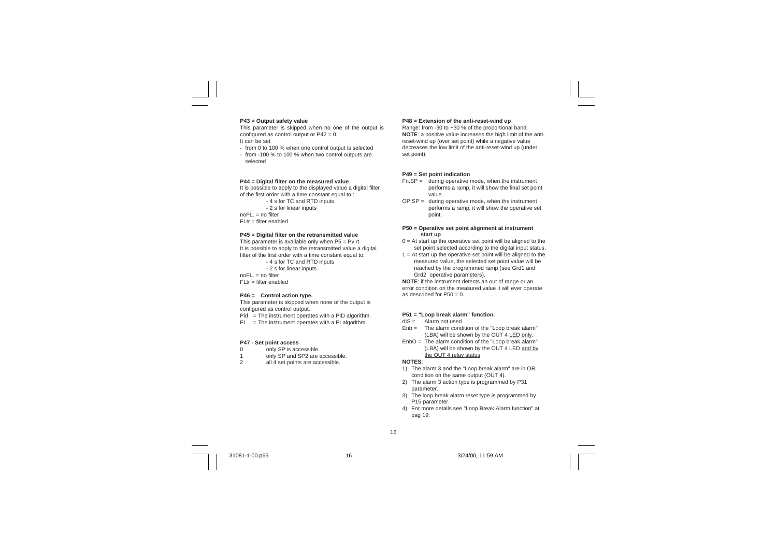#### **P43 = Output safety value**

This parameter is skipped when no one of the output is configured as control output or P42 = 0. It can be set

- from 0 to 100 % when one control output is selected - from -100 % to 100 % when two control outputs are selected

**P44 = Digital filter on the measured value**

It is possible to apply to the displayed value a digital filter of the first order with a time constant equal to : - 4 s for TC and RTD inputs - 2 s for linear inputs noFL. = no filter  $Fltr = filter enabled$ 

## **P45 = Digital filter on the retransmitted value**

This parameter is available only when P5 = Pv.rt. It is possible to apply to the retransmitted value a digital filter of the first order with a time constant equal to: - 4 s for TC and RTD inputs - 2 s for linear inputs  $n \circ Fl = n \circ filter$ FLtr = filter enabled

#### **P46 = Control action type.**

This parameter is skipped when none of the output is configured as control output.

Pid = The instrument operates with a PID algorithm.  $Pi = The instrument operates with a PI algorithm.$ 

# **P47 - Set point access**

- 0 only SP is accessible.
- 1 only SP and SP2 are accessible.<br>2 all 4 set points are accessible.
- all 4 set points are accessible.

#### **P48 = Extension of the anti-reset-wind up**

Range: from -30 to +30 % of the proportional band. **NOTE**: a positive value increases the high limit of the antireset-wind up (over set point) while a negative value decreases the low limit of the anti-reset-wind up (under set point).

#### **P49 = Set point indication**

- $Fn.SP =$  during operative mode, when the instrument performs a ramp, it will show the final set point .<br>value.
- $OP.SP =$  during operative mode, when the instrument performs a ramp, it will show the operative set point.

#### **P50 = Operative set point alignment at instrument start up**

 $0 = At$  start up the operative set point will be aligned to the set point selected according to the digital input status.

 $1 = At start$  up the operative set point will be aligned to the measured value, the selected set point value will be reached by the programmed ramp (see Grd1 and Grd2 operative parameters).

**NOTE**: if the instrument detects an out of range or an error condition on the measured value it will ever operate as described for P50 = 0.

#### **P51 = "Loop break alarm" function.**

- dIS = Alarm not used
- Enb = The alarm condition of the "Loop break alarm" (LBA) will be shown by the OUT 4 LED only.
- EnbO = The alarm condition of the "Loop break alarm" (LBA) will be shown by the OUT 4 LED and by the OUT 4 relay status.

**NOTES**:

- 1) The alarm 3 and the "Loop break alarm" are in OR condition on the same output (OUT 4).
- 2) The alarm 3 action type is programmed by P31 parameter.
- 3) The loop break alarm reset type is programmed by P15 parameter.
- 4) For more details see "Loop Break Alarm function" at pag 19.

16

31081-1-00.p65 16 3/24/00. 11:59 AM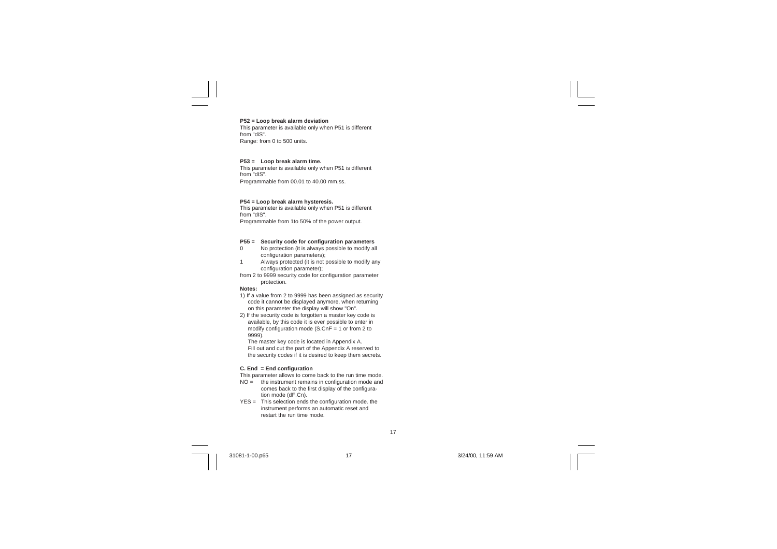#### **P52 = Loop break alarm deviation**

This parameter is available only when P51 is different from "diS". Range: from 0 to 500 units.

#### **P53 = Loop break alarm time.**

This parameter is available only when P51 is different from "dIS". Programmable from 00.01 to 40.00 mm.ss.

#### **P54 = Loop break alarm hysteresis.**

This parameter is available only when P51 is different from "dIS". Programmable from 1to 50% of the power output.

# **P55 = Security code for configuration parameters**<br>0 No protection (it is always possible to modify all

- No protection (it is always possible to modify all configuration parameters);
- 1 Always protected (it is not possible to modify any configuration parameter);
- from 2 to 9999 security code for configuration parameter protection.

#### **Notes:**

- 1) If a value from 2 to 9999 has been assigned as security code it cannot be displayed anymore, when returning on this parameter the display will show "On".
- 2) If the security code is forgotten a master key code is available, by this code it is ever possible to enter in modify configuration mode (S.CnF = 1 or from 2 to 9999).
- The master key code is located in Appendix A. Fill out and cut the part of the Appendix A reserved to the security codes if it is desired to keep them secrets.

#### **C. End = End configuration**

- This parameter allows to come back to the run time mode.  $NO =$  the instrument remains in configuration mode and comes back to the first display of the configuration mode (dF.Cn).
- YES = This selection ends the configuration mode. the instrument performs an automatic reset and restart the run time mode.

17

31081-1-00.p65 17 3/24/00, 11:59 AM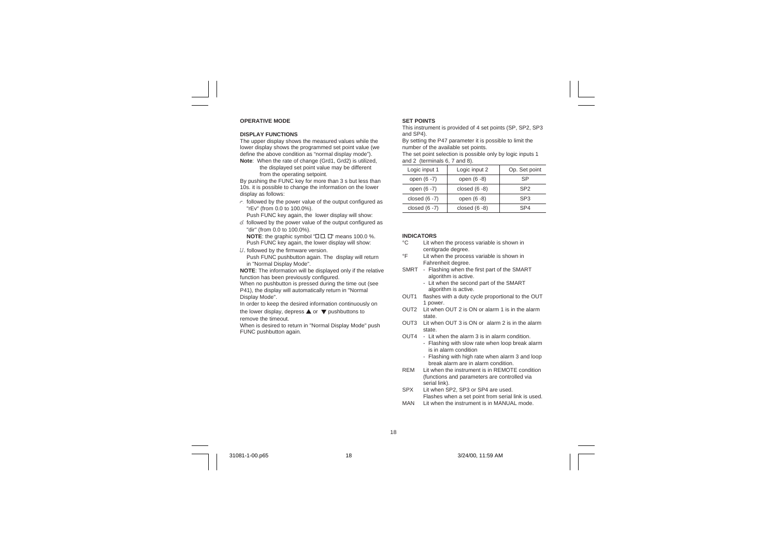#### **OPERATIVE MODE**

#### **DISPLAY FUNCTIONS**

The upper display shows the measured values while the lower display shows the programmed set point value (we define the above condition as "normal display mode"). **Note**: When the rate of change (Grd1, Grd2) is utilized,

the displayed set point value may be different from the operating setpoint.

By pushing the FUNC key for more than 3 s but less than 10s. it is possible to change the information on the lower display as follows:

 $\tau$ . followed by the power value of the output configured as "rEv" (from 0.0 to 100.0%).

Push FUNC key again, the lower display will show: d. followed by the power value of the output configured as

- "dir" (from 0.0 to 100.0%).
- **NOTE:** the graphic symbol " $\Box$  $\Box$ .  $\Box$ " means 100.0 %. Push FUNC key again, the lower display will show:
- U. followed by the firmware version. Push FUNC pushbutton again. The display will return

in "Normal Display Mode". **NOTE**: The information will be displayed only if the relative

function has been previously configured. When no pushbutton is pressed during the time out (see P41), the display will automatically return in "Normal Display Mode".

In order to keep the desired information continuously on

#### the lower display, depress  $\blacktriangle$  or  $\nabla$  pushbuttons to remove the timeout.

When is desired to return in "Normal Display Mode" push FUNC pushbutton again.

#### **SET POINTS**

This instrument is provided of 4 set points (SP, SP2, SP3 and SP4).

By setting the P47 parameter it is possible to limit the number of the available set points.

The set point selection is possible only by logic inputs 1 and 2 (terminals 6, 7 and 8).

| Logic input 1    | Logic input 2    | Op. Set point   |
|------------------|------------------|-----------------|
| open (6 -7)      | open (6 -8)      | SP              |
| open (6 -7)      | closed $(6 - 8)$ | SP <sub>2</sub> |
| closed $(6 - 7)$ | open (6 -8)      | SP <sub>3</sub> |
| closed $(6 - 7)$ | closed $(6 - 8)$ |                 |

#### **INDICATORS**

- °C Lit when the process variable is shown in centigrade degree.
- °F Lit when the process variable is shown in Fahrenheit degree.
- SMRT Flashing when the first part of the SMART algorithm is active.
	- Lit when the second part of the SMART algorithm is active.
- OUT1 flashes with a duty cycle proportional to the OUT 1 power.
- OUT2 Lit when OUT 2 is ON or alarm 1 is in the alarm state.
- OUT3 Lit when OUT 3 is ON or alarm 2 is in the alarm state.
- OUT4 Lit when the alarm 3 is in alarm condition. - Flashing with slow rate when loop break alarm is in alarm condition
	- Flashing with high rate when alarm 3 and loop break alarm are in alarm condition.
- REM Lit when the instrument is in REMOTE condition (functions and parameters are controlled via serial link).
- SPX Lit when SP2, SP3 or SP4 are used. Flashes when a set point from serial link is used.
- MAN Lit when the instrument is in MANUAL mode.

18

31081-1-00.p65 18 3/24/00, 11:59 AM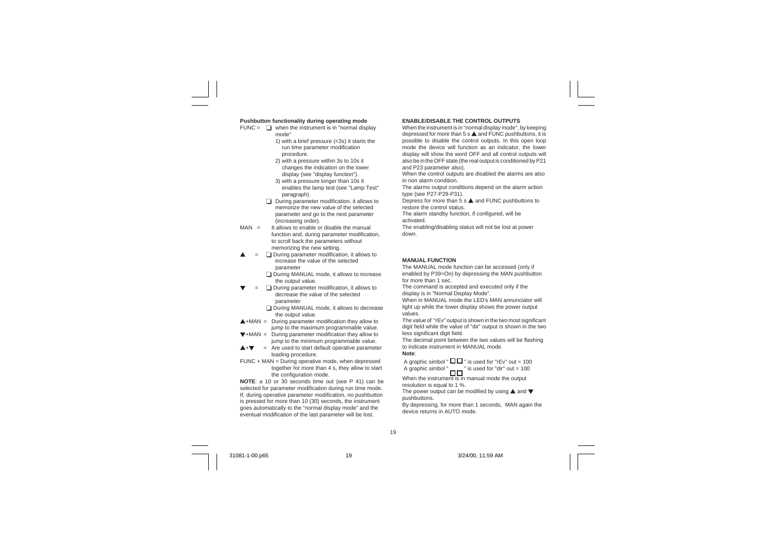## **Pushbutton functionality during operating mode**

 $FUNC = \Box$  when the instrument is in "normal display mode"

- 1) with a brief pressure (<3s) it starts the run time parameter modification procedure.
- 2) with a pressure within 3s to 10s it changes the indication on the lower display (see "display function"). 3) with a pressure longer than 10s it
- enables the lamp test (see "Lamp Test" paragraph).  $\Box$  During parameter modification, it allows to
- memorize the new value of the selected parameter and go to the next parameter (increasing order).
- $MAN =$  It allows to enable or disable the manual function and, during parameter modification, to scroll back the parameters without memorizing the new setting.
- $\triangle$  =  $\Box$  During parameter modification, it allows to increase the value of the selected parameter  $\Box$  During MANUAL mode, it allows to increase
	- the output value.
- $\bullet$  =  $\Box$  During parameter modification, it allows to decrease the value of the selected parameter □ During MANUAL mode, it allows to decrease
- the output value.  $A+MAN =$  During parameter modification they allow to
- jump to the maximum programmable value.
- $\blacktriangledown$ +MAN = During parameter modification they allow to jump to the minimum programmable value.  $\triangle + \triangledown$  = Are used to start default operative parameter
- loading procedure.
- FUNC + MAN = During operative mode, when depressed together for more than 4 s, they allow to start the configuration mode.

**NOTE**: a 10 or 30 seconds time out (see P 41) can be selected for parameter modification during run time mode. If, during operative parameter modification, no pushbutton is pressed for more than 10 (30) seconds, the instrument goes automatically to the "normal display mode" and the eventual modification of the last parameter will be lost.

#### **ENABLE/DISABLE THE CONTROL OUTPUTS**

When the instrument is in "normal display mode", by keeping depressed for more than  $5 \text{ s}$  and FUNC pushbuttons, it is possible to disable the control outputs. In this open loop mode the device will function as an indicator, the lower display will show the word OFF and all control outputs will also be in the OFF state (the real output is conditioned by P21 and P23 parameter also).

When the control outputs are disabled the alarms are also in non alarm condition.

The alarms output conditions depend on the alarm action type (see P27-P29-P31).

Depress for more than  $5 s$   $\triangle$  and FUNC pushbuttons to restore the control status.

The alarm standby function, if configured, will be

activated. The enabling/disabling status will not be lost at power down.

#### **MANUAL FUNCTION**

The MANUAL mode function can be accessed (only if enabled by P39=On) by depressing the MAN pushbutton for more than 1 sec.

The command is accepted and executed only if the display is in "Normal Display Mode".

When in MANUAL mode the LED's MAN annunciator will light up while the lower display shows the power output values.

The value of "rEv" output is shown in the two most significant digit field while the value of "dir" output is shown in the two less significant digit field.

The decimal point between the two values will be flashing to indicate instrument in MANUAL mode.

#### **Note**:

A graphic simbol " $\Box$ " is used for "rEv" out = 100 A graphic simbol  $" \square \square"$  is used for "dir" out = 100

When the instrument is in manual mode the output resolution is equal to 1 %.

The power output can be modified by using  $\blacktriangle$  and  $\blacktriangledown$ pushbuttons.

By depressing, for more than 1 seconds, MAN again the device returns in AUTO mode.

19

31081-1-00.p65 19 3/24/00, 11:59 AM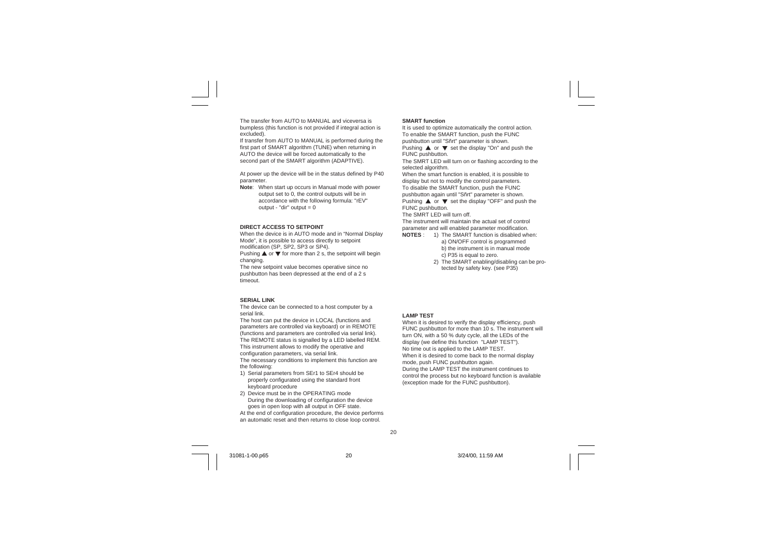The transfer from AUTO to MANUAL and viceversa is bumpless (this function is not provided if integral action is excluded).

If transfer from AUTO to MANUAL is performed during the first part of SMART algorithm (TUNE) when returning in AUTO the device will be forced automatically to the second part of the SMART algorithm (ADAPTIVE).

At power up the device will be in the status defined by P40 parameter.

**Note**: When start up occurs in Manual mode with power output set to 0, the control outputs will be in accordance with the following formula: "rEV" output - "dir" output = 0

#### **DIRECT ACCESS TO SETPOINT**

When the device is in AUTO mode and in "Normal Display Mode", it is possible to access directly to setpoint modification (SP, SP2, SP3 or SP4). Pushing  $\blacktriangle$  or  $\nabla$  for more than 2 s, the setpoint will begin changing. The new setpoint value becomes operative since no

pushbutton has been depressed at the end of a 2 s timeout.

#### **SERIAL LINK**

The device can be connected to a host computer by a serial link.

The host can put the device in LOCAL (functions and parameters are controlled via keyboard) or in REMOTE (functions and parameters are controlled via serial link). The REMOTE status is signalled by a LED labelled REM. This instrument allows to modify the operative and configuration parameters, via serial link.

The necessary conditions to implement this function are the following:

- 1) Serial parameters from SEr1 to SEr4 should be properly configurated using the standard front keyboard procedure
- 2) Device must be in the OPERATING mode During the downloading of configuration the device goes in open loop with all output in OFF state.
- At the end of configuration procedure, the device performs an automatic reset and then returns to close loop control.

#### **SMART function**

It is used to optimize automatically the control action. To enable the SMART function, push the FUNC pushbutton until "Sñrt" parameter is shown. Pushing  $\triangle$  or  $\nabla$  set the display "On" and push the FUNC pushbutton. The SMRT LED will turn on or flashing according to the selected algorithm. When the smart function is enabled, it is possible to display but not to modify the control parameters. To disable the SMART function, push the FUNC pushbutton again until "Sñrt" parameter is shown. Pushing  $\triangle$  or  $\nabla$  set the display "OFF" and push the FUNC pushbutton. The SMRT LED will turn off. The instrument will maintain the actual set of control parameter and will enabled parameter modification. **NOTES** : 1) The SMART function is disabled when: a) ON/OFF control is programmed

- b) the instrument is in manual mode c) P35 is equal to zero. 2) The SMART enabling/disabling can be pro-
- tected by safety key. (see P35)

#### **LAMP TEST**

When it is desired to verify the display efficiency, push FUNC pushbutton for more than 10 s. The instrument will turn ON, with a 50 % duty cycle, all the LEDs of the display (we define this function "LAMP TEST"). No time out is applied to the LAMP TEST. When it is desired to come back to the normal display mode, push FUNC pushbutton again. During the LAMP TEST the instrument continues to control the process but no keyboard function is available (exception made for the FUNC pushbutton).

 $20$ 

31081-1-00.p65 20 3/24/00, 11:59 AM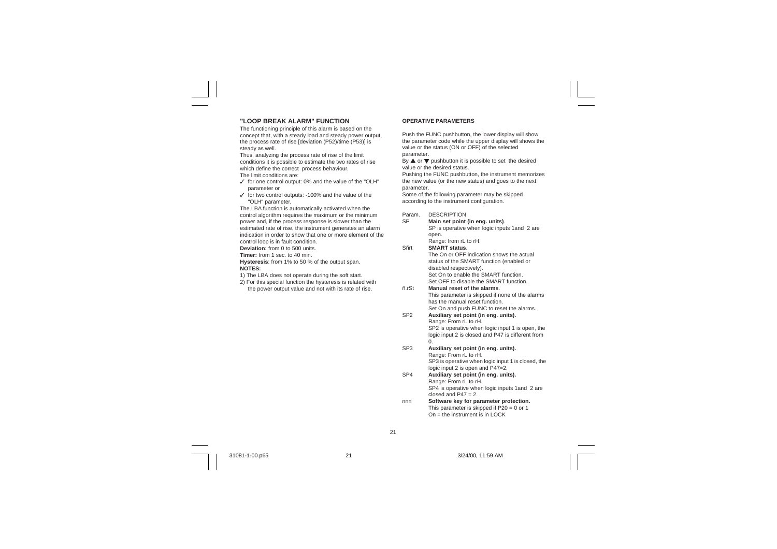#### **"LOOP BREAK ALARM" FUNCTION**

The functioning principle of this alarm is based on the concept that, with a steady load and steady power output, the process rate of rise [deviation (P52)/time (P53)] is steady as well.

Thus, analyzing the process rate of rise of the limit conditions it is possible to estimate the two rates of rise which define the correct process behaviour. The limit conditions are:

- $\checkmark$  for one control output: 0% and the value of the "OLH"
- parameter or
- $\checkmark$  for two control outputs: -100% and the value of the "OLH" parameter,

The LBA function is automatically activated when the control algorithm requires the maximum or the minimum power and, if the process response is slower than the estimated rate of rise, the instrument generates an alarm indication in order to show that one or more element of the control loop is in fault condition.

**Deviation:** from 0 to 500 units.

**Timer:** from 1 sec. to 40 min.

**Hysteresis**: from 1% to 50 % of the output span. **NOTES:**

1) The LBA does not operate during the soft start.

2) For this special function the hysteresis is related with the power output value and not with its rate of rise.

#### **OPERATIVE PARAMETERS**

Push the FUNC pushbutton, the lower display will show the parameter code while the upper display will shows the value or the status (ON or OFF) of the selected parameter.

 $Bv \triangle$  or  $\blacktriangledown$  pushbutton it is possible to set the desired value or the desired status.

Pushing the FUNC pushbutton, the instrument memorizes the new value (or the new status) and goes to the next parameter. Some of the following parameter may be skipped

according to the instrument configuration.

#### Param. DESCRIPTION

SP **Main set point (in eng. units)**. SP is operative when logic inputs 1and 2 are open. Range: from rL to rH.

Sñrt **SMART status**.

The On or OFF indication shows the actual status of the SMART function (enabled or disabled respectively). Set On to enable the SMART function. Set OFF to disable the SMART function.

- ñ.rSt **Manual reset of the alarms**. This parameter is skipped if none of the alarms has the manual reset function. Set On and push FUNC to reset the alarms.
- SP2 **Auxiliary set point (in eng. units).** Range: From rL to rH.

SP2 is operative when logic input 1 is open, the logic input 2 is closed and P47 is different from  $\Omega$ 

SP3 **Auxiliary set point (in eng. units).** Range: From rL to rH. SP3 is operative when logic input 1 is closed, the logic input 2 is open and P47=2.

SP4 **Auxiliary set point (in eng. units).** Range: From rL to rH. SP4 is operative when logic inputs 1and 2 are closed and  $P47 = 2$ .

nnn **Software key for parameter protection.** This parameter is skipped if P20 = 0 or 1 On = the instrument is in LOCK

21

31081-1-00.p65 21 3/24/00, 11:59 AM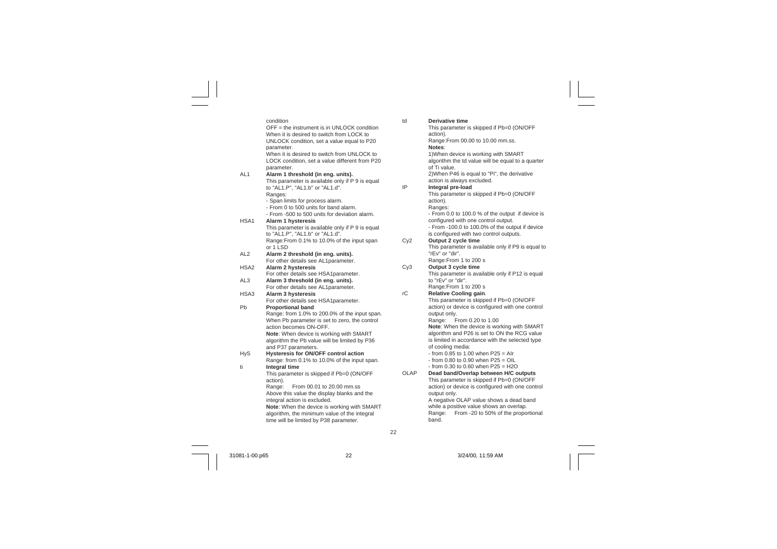#### condition

OFF = the instrument is in UNLOCK condition When it is desired to switch from LOCK to UNLOCK condition, set a value equal to P20 parameter. When it is desired to switch from UNLOCK to LOCK condition, set a value different from P20

- parameter. AL1 **Alarm 1 threshold (in eng. units).** This parameter is available only if P 9 is equal to "AL1.P", "AL1.b" or "AL1.d". Ranges:
	- Span limits for process alarm. - From 0 to 500 units for band alarm. - From -500 to 500 units for deviation alarm.
	- HSA1 **Alarm 1 hysteresis** This parameter is available only if P 9 is equal to "AL1.P", "AL1.b" or "AL1.d". Range:From 0.1% to 10.0% of the input span or 1 LSD
- AL2 **Alarm 2 threshold (in eng. units).** For other details see AL1parameter.
- HSA2 **Alarm 2 hysteresis** For other details see HSA1parameter.
- AL3 **Alarm 3 threshold (in eng. units).** For other details see AL1parameter.
- HSA3 **Alarm 3 hysteresis** For other details see HSA1parameter.
- Pb **Proportional band** Range: from 1.0% to 200.0% of the input span. When Pb parameter is set to zero, the control action becomes ON-OFF.

**Note**: When device is working with SMART algorithm the Pb value will be limited by P36 and P37 parameters.

- HyS **Hysteresis for ON/OFF control action** Range: from 0.1% to 10.0% of the input span. ti **Integral time**
	- This parameter is skipped if Pb=0 (ON/OFF action). Range: From 00.01 to 20.00 mm.ss Above this value the display blanks and the integral action is excluded. **Note**: When the device is working with SMART algorithm, the minimum value of the integral

time will be limited by P38 parameter.

#### td **Derivative time** This parameter is skipped if Pb=0 (ON/OFF

action). Range:From 00.00 to 10.00 mm.ss. **Notes**: 1)When device is working with SMART algorithm the td value will be equal to a quarter of Ti value. 2)When P46 is equal to "Pi", the derivative action is always excluded. IP **Integral pre-load**

#### This parameter is skipped if Pb=0 (ON/OFF action). Ranges:

- From 0.0 to 100.0 % of the output if device is configured with one control output. - From -100.0 to 100.0% of the output if device is configured with two control outputs.

- Cy2 **Output 2 cycle time** This parameter is available only if P9 is equal to "rEv" or "dir". Range:From 1 to 200 s
- Cy3 **Output 3 cycle time** This parameter is available only if P12 is equal to "rEv" or "dir". Range:From 1 to 200 s

#### rC **Relative Cooling gain**. This parameter is skipped if Pb=0 (ON/OFF

action) or device is configured with one control output only. Range: From 0.20 to 1.00 **Note**: When the device is working with SMART algorithm and P26 is set to ON the RCG value is limited in accordance with the selected type of cooling media:  $-$  from 0.85 to 1.00 when P25 = AIr  $-$  from 0.80 to 0.90 when P25 = OIL  $-$  from 0.30 to 0.60 when P25 = H2O

OLAP **Dead band/Overlap between H/C outputs** This parameter is skipped if Pb=0 (ON/OFF action) or device is configured with one control output only. A negative OLAP value shows a dead band while a positive value shows an overlap. Range: From -20 to 50% of the proportional band.

22

31081-1-00.p65 22 3/24/00, 11:59 AM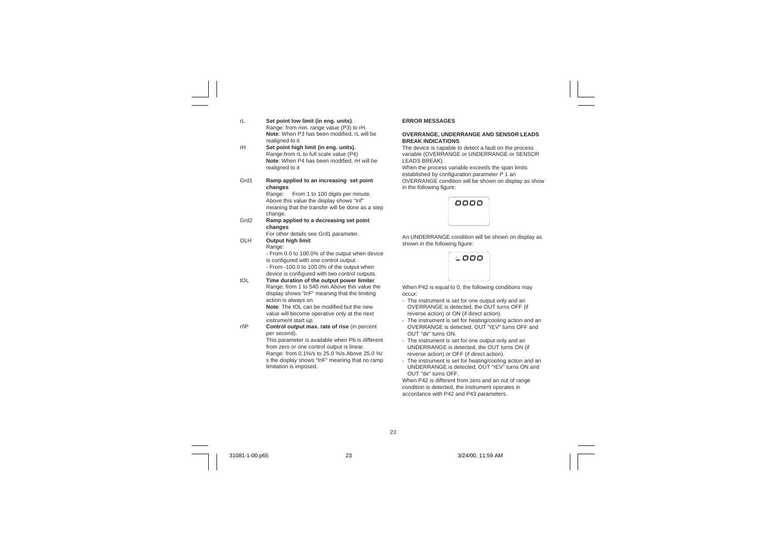- rL **Set point low limit (in eng. units)**. Range: from min. range value (P3) to rH. **Note**: When P3 has been modified, rL will be realigned to it
- rH **Set point high limit (in eng. units).** Range:from rL to full scale value (P4) **Note**: When P4 has been modified, rH will be realigned to it
- Grd1 **Ramp applied to an increasing set point changes** Range: From 1 to 100 digits per minute. Above this value the display shows "Inf"

meaning that the transfer will be done as a step change.

- Grd2 **Ramp applied to a decreasing set point changes**
- For other details see Grd1 parameter. OLH **Output high limit**

Range: - From 0.0 to 100.0% of the output when device is configured with one control output. - From -100.0 to 100.0% of the output when device is configured with two control outputs.

tOL **Time duration of the output power limiter** Range: from 1 to 540 min.Above this value the display shows "InF" meaning that the limiting action is always on

**Note**: The tOL can be modified but the new value will become operative only at the next instrument start up.

rñP **Control output max. rate of rise** (in percent per second). This parameter is available when Pb is different from zero or one control output is linear. Range: from 0.1%/s to 25.0 %/s.Above 25.0 %/ s the display shows "InF" meaning that no ramp limitation is imposed.

#### **ERROR MESSAGES**

#### **OVERRANGE, UNDERRANGE AND SENSOR LEADS BREAK INDICATIONS**

The device is capable to detect a fault on the process variable (OVERRANGE or UNDERRANGE or SENSOR LEADS BREAK).

When the process variable exceeds the span limits established by configuration parameter P 1 an OVERRANGE condition will be shown on display as show in the following figure:



An UNDERRANGE condition will be shown on display as shown in the following figure:



When P42 is equal to 0, the following conditions may occur:

- The instrument is set for one output only and an OVERRANGE is detected, the OUT turns OFF (if reverse action) or ON (if direct action).
- The instrument is set for heating/cooling action and an OVERRANGE is detected, OUT "rEV" turns OFF and OUT "dir" turns ON.
- The instrument is set for one output only and an UNDERRANGE is detected, the OUT turns ON (if reverse action) or OFF (if direct action).
- The instrument is set for heating/cooling action and an UNDERRANGE is detected, OUT "rEV" turns ON and OUT "dir" turns OFF.

When P42 is different from zero and an out of range condition is detected, the instrument operates in accordance with P42 and P43 parameters.

23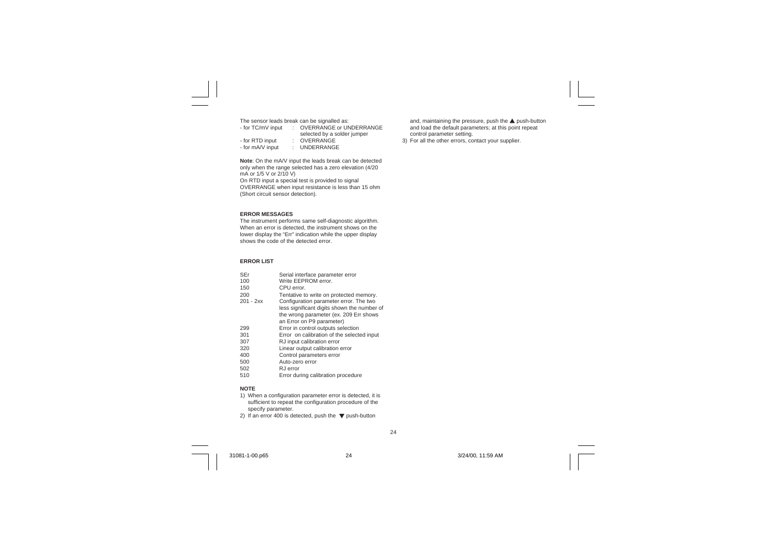#### The sensor leads break can be signalled as: - for TC/mV input : OVERRANGE or UNDERRANGE selected by a solder jumper

- for RTD input : OVERRANGE

- for mA/V input : UNDERRANGE

**Note**: On the mA/V input the leads break can be detected only when the range selected has a zero elevation (4/20 mA or 1/5 V or 2/10 V) On RTD input a special test is provided to signal OVERRANGE when input resistance is less than 15 ohm (Short circuit sensor detection).

#### **ERROR MESSAGES**

The instrument performs same self-diagnostic algorithm. When an error is detected, the instrument shows on the lower display the "Err" indication while the upper display shows the code of the detected error.

#### **ERROR LIST**

- SEr Serial interface parameter error<br>100 Write EEPROM error.
- Write EEPROM error.
- 150 CPU error.
- 200 Tentative to write on protected memory.
- 201 2xx Configuration parameter error. The two less significant digits shown the number of the wrong parameter (ex. 209 Err shows an Error on P9 parameter)
- 299 Error in control outputs selection<br>301 Error on calibration of the selecte
- 301 Error on calibration of the selected input<br>307 RJ input calibration error
- 307 RJ input calibration error<br>320 Linear output calibration of
- 320 Linear output calibration error<br>400 Control parameters error
- 400 Control parameters error<br>500 Auto-zero error
- Auto-zero error
- 502 RJ error
- 510 Error during calibration procedure

#### **NOTE**

- 1) When a configuration parameter error is detected, it is sufficient to repeat the configuration procedure of the specify parameter.
- 2) If an error 400 is detected, push the  $\blacktriangledown$  push-button

24

31081-1-00.p65 24 3/24/00, 11:59 AM

and, maintaining the pressure, push the  $\blacktriangle$  push-button and load the default parameters; at this point repeat

control parameter setting.

3) For all the other errors, contact your supplier.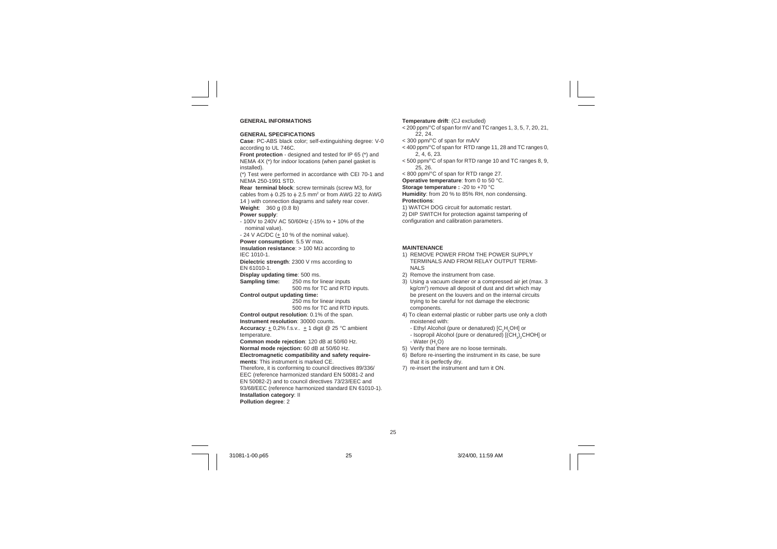#### **GENERAL INFORMATIONS**

#### **GENERAL SPECIFICATIONS**

**Case**: PC-ABS black color; self-extinguishing degree: V-0 according to UL 746C. **Front protection** - designed and tested for IP 65 (\*) and NEMA 4X (\*) for indoor locations (when panel gasket is installed). (\*) Test were performed in accordance with CEI 70-1 and NEMA 250-1991 STD. **Rear terminal block**: screw terminals (screw M3, for cables from  $\phi$  0.25 to  $\phi$  2.5 mm<sup>2</sup> or from AWG 22 to AWG 14 ) with connection diagrams and safety rear cover. **Weight**: 360 g (0.8 lb) **Power supply**: - 100V to 240V AC 50/60Hz (-15% to + 10% of the nominal value). - 24 V AC/DC (+ 10 % of the nominal value). **Power consumption**: 5.5 W max. **Insulation resistance**:  $> 100$  M $\Omega$  according to IEC 1010-1. **Dielectric strength**: 2300 V rms according to EN 61010-1. **Display updating time**: 500 ms. **Sampling time:** 250 ms for linear inputs 500 ms for TC and RTD inputs. **Control output updating time:** 250 ms for linear inputs 500 ms for TC and RTD inputs. **Control output resolution**: 0.1% of the span. **Instrument resolution**: 30000 counts. **Accuracy**:  $\pm$  0,2% f.s.v..  $\pm$  1 digit @ 25 °C ambient temperature. **Common mode rejection**: 120 dB at 50/60 Hz. **Normal mode rejection:** 60 dB at 50/60 Hz. **Electromagnetic compatibility and safety requirements**: This instrument is marked CE. Therefore, it is conforming to council directives 89/336/ EEC (reference harmonized standard EN 50081-2 and EN 50082-2) and to council directives 73/23/EEC and 93/68/EEC (reference harmonized standard EN 61010-1). **Installation category**: II **Pollution degree**: 2

**Temperature drift**: (CJ excluded)  $<$  200 ppm/ $\degree$ C of span for mV and TC ranges 1, 3, 5, 7, 20, 21,  $22.24$ < 300 ppm/°C of span for mA/V < 400 ppm/°C of span for RTD range 11, 28 and TC ranges 0, 2, 4, 6, 23. < 500 ppm/°C of span for RTD range 10 and TC ranges 8, 9, 25, 26. < 800 ppm/°C of span for RTD range 27. **Operative temperature**: from 0 to 50 °C. **Storage temperature : -20 to +70 °C Humidity**: from 20 % to 85% RH, non condensing. **Protections**: 1) WATCH DOG circuit for automatic restart. 2) DIP SWITCH for protection against tampering of configuration and calibration parameters.

#### **MAINTENANCE**

25

- 1) REMOVE POWER FROM THE POWER SUPPLY TERMINALS AND FROM RELAY OUTPUT TERMI-NALS
- 2) Remove the instrument from case.
- 3) Using a vacuum cleaner or a compressed air jet (max. 3 kg/cm2) remove all deposit of dust and dirt which may be present on the louvers and on the internal circuits trying to be careful for not damage the electronic components.
- 4) To clean external plastic or rubber parts use only a cloth moistened with:
- Ethyl Alcohol (pure or denatured) [C<sub>2</sub>H<sub>E</sub>OH] or
- Isopropil Alcohol (pure or denatured) [(CH<sub>3</sub>)<sub>2</sub>CHOH] or - Water  $(H<sub>2</sub>O)$
- 5) Verify that there are no loose terminals.
- 6) Before re-inserting the instrument in its case, be sure that it is perfectly dry.
- 7) re-insert the instrument and turn it ON.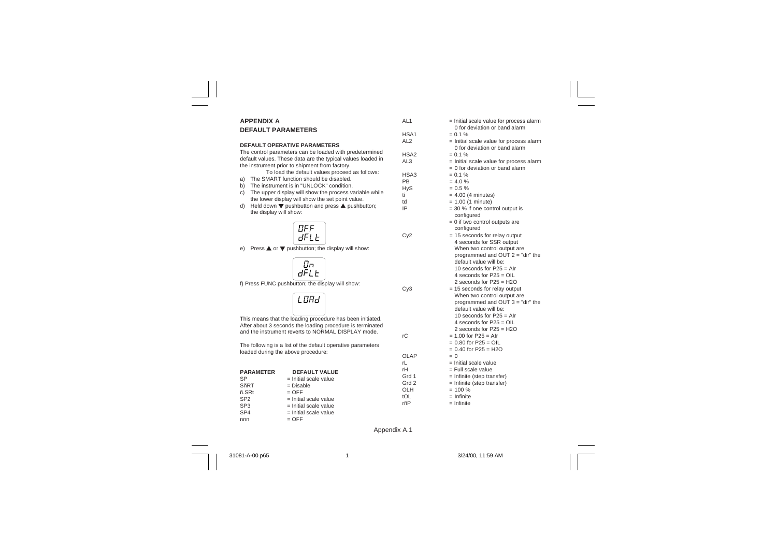| <b>APPENDIX A</b>                                                                                                                                                                                               |                                                                                                                                                                                                                                                                                                      | AL <sub>1</sub>                             |
|-----------------------------------------------------------------------------------------------------------------------------------------------------------------------------------------------------------------|------------------------------------------------------------------------------------------------------------------------------------------------------------------------------------------------------------------------------------------------------------------------------------------------------|---------------------------------------------|
| <b>DEFAULT PARAMETERS</b>                                                                                                                                                                                       |                                                                                                                                                                                                                                                                                                      | HSA <sub>1</sub><br>AL2                     |
| <b>DEFAULT OPERATIVE PARAMETERS</b><br>The control parameters can be loaded with predetermined<br>default values. These data are the typical values loaded in<br>the instrument prior to shipment from factory. | HSA <sub>2</sub><br>AL3                                                                                                                                                                                                                                                                              |                                             |
| a)<br>b)<br>c)<br>d)<br>the display will show:                                                                                                                                                                  | To load the default values proceed as follows:<br>The SMART function should be disabled.<br>The instrument is in "UNLOCK" condition.<br>The upper display will show the process variable while<br>the lower display will show the set point value.<br>Held down ▼ pushbutton and press ▲ pushbutton; | HSA3<br>PB<br><b>HyS</b><br>ti.<br>td<br>IP |
|                                                                                                                                                                                                                 | $\begin{array}{ c c }\n\hline dFLE\n\end{array}$<br>e) Press ▲ or ▼ pushbutton; the display will show:                                                                                                                                                                                               | Cy2                                         |
|                                                                                                                                                                                                                 | $\big \begin{smallmatrix} D_D\ dFLF \end{smallmatrix}\big $<br>f) Press FUNC pushbutton; the display will show:<br>$\bigl( \begin{smallmatrix} \mathsf{L}\mathsf{D}\mathsf{H}\mathsf{d} \end{smallmatrix} \bigr)$                                                                                    | Cy3                                         |
|                                                                                                                                                                                                                 | This means that the loading procedure has been initiated.<br>After about 3 seconds the loading procedure is terminated<br>and the instrument reverts to NORMAL DISPLAY mode.                                                                                                                         | rС                                          |
|                                                                                                                                                                                                                 | The following is a list of the default operative parameters<br>loaded during the above procedure:                                                                                                                                                                                                    | OLAP<br>rL.                                 |
| <b>PARAMETER</b><br>SP<br>SñRT<br>ñ.SRt<br>SP <sub>2</sub><br>SP <sub>3</sub><br>SP <sub>4</sub><br>nnn                                                                                                         | <b>DEFAULT VALUE</b><br>= Initial scale value<br>$=$ Disable<br>$=$ OFF<br>$=$ Initial scale value<br>$=$ Initial scale value<br>$=$ Initial scale value<br>$=$ OFF                                                                                                                                  | rH<br>Grd 1<br>Grd 2<br>OLH<br>tOL<br>rñP   |

## $= 0.1 \%$  $=$  Initial scale value for process alarm = 0 for deviation or band alarm  $= 0.1 \%$  $= 4.0 \%$  $= 0.5 \%$  $= 4.00$  (4 minutes) td <sup>=</sup> 1.00 (1 minute) IP = 30 % if one control output is  $= 0$  if two control outputs are

Appendix A.1

31081-A-00.p65 1 3/24/00, 11:59 AM

= Initial scale value for process alarm 0 for deviation or band alarm

 $=$  Initial scale value for process alarm 0 for deviation or band alarm

 $= 0.1 \%$ 

configured

configured

 $= 15$  seconds for relay output 4 seconds for SSR output When two control output are programmed and OUT 2 = "dir" the

default value will be: 10 seconds for P25 = AIr 4 seconds for P25 = OIL 2 seconds for P25 = H2O  $= 15$  seconds for relay output When two control output are programmed and OUT 3 = "dir" the

default value will be: 10 seconds for P25 = AIr 4 seconds for P25 = OIL 2 seconds for P25 = H2O  $= 1.00$  for P25  $=$  AIr = 0.80 for P25 = OIL = 0.40 for P25 = H2O

 $=$  Initial scale value  $=$  Full scale value = Infinite (step transfer)  $=$  Infinite (step transfer)

 $= 0$ 

 $= 100 \%$  $t = \text{Infinite}$  $=$  Infinite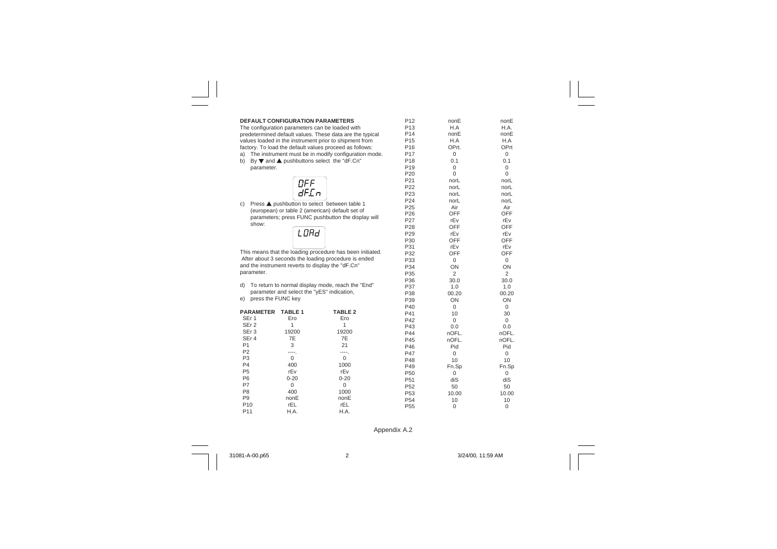|                  | <b>DEFAULT CONFIGURATION PARAMETERS</b>                    |                                                           | P <sub>12</sub> | nonE           | nonE           |
|------------------|------------------------------------------------------------|-----------------------------------------------------------|-----------------|----------------|----------------|
|                  | The configuration parameters can be loaded with            |                                                           | P <sub>13</sub> | H.A            | H.A.           |
|                  |                                                            | predetermined default values. These data are the typical  | P <sub>14</sub> | nonE           | nonE           |
|                  |                                                            | values loaded in the instrument prior to shipment from    | P <sub>15</sub> | H.A            | H.A            |
|                  |                                                            | factory. To load the default values proceed as follows:   | P <sub>16</sub> | OPrt.          | OPrt           |
| a)               |                                                            | The instrument must be in modify configuration mode.      | P <sub>17</sub> | 0              | $\mathbf{0}$   |
| b)               | By $\nabla$ and $\triangle$ pushbuttons select the "dF.Cn" |                                                           | P <sub>18</sub> | 0.1            | 0.1            |
| parameter.       |                                                            |                                                           | P <sub>19</sub> | 0              | 0              |
|                  |                                                            |                                                           | P <sub>20</sub> | $\Omega$       | $\Omega$       |
|                  |                                                            |                                                           | P21             | norL           | norL           |
|                  | OFF<br>df[n                                                |                                                           | P22             | norL           | norL           |
|                  |                                                            |                                                           | P <sub>23</sub> | norL           | norL           |
|                  |                                                            |                                                           | P24             | norL           | norL           |
| C)               | Press ▲ pushbutton to select between table 1               |                                                           | P <sub>25</sub> | Air            | Air            |
|                  | (european) or table 2 (american) default set of            |                                                           | P26             | <b>OFF</b>     | OFF            |
|                  |                                                            | parameters; press FUNC pushbutton the display will        | P <sub>27</sub> | rEv            | rEv            |
| show:            |                                                            |                                                           | P28             | OFF            | OFF            |
|                  | LOAd                                                       |                                                           | P <sub>29</sub> | rEv            | rEv            |
|                  |                                                            |                                                           | P30             | <b>OFF</b>     | <b>OFF</b>     |
|                  |                                                            |                                                           | P31             | rEv            | rEv            |
|                  |                                                            | This means that the loading procedure has been initiated. | P32             | OFF            | OFF            |
|                  |                                                            | After about 3 seconds the loading procedure is ended      | P33             | 0              | 0              |
|                  | and the instrument reverts to display the "dF.Cn"          |                                                           | P34             | ON             | ON             |
| parameter.       |                                                            |                                                           | P35             | $\overline{2}$ | $\overline{2}$ |
|                  |                                                            |                                                           | P36             | 30.0           | 30.0           |
| d)               |                                                            | To return to normal display mode, reach the "End"         | P37             | 1.0            | 1.0            |
|                  | parameter and select the "yES" indication,                 |                                                           | P38             | 00.20          | 00.20          |
| e)               | press the FUNC key                                         |                                                           | P39             | ON             | ON             |
|                  |                                                            |                                                           | P40             | 0              | 0              |
| <b>PARAMETER</b> | <b>TABLE 1</b>                                             | <b>TABLE 2</b>                                            | P41             | 10             | 30             |
| SEr <sub>1</sub> | Ero                                                        | Ero                                                       | P42             | 0              | 0              |
| SEr <sub>2</sub> | 1                                                          | 1                                                         | P43             | 0.0            | 0.0            |
| SEr <sub>3</sub> | 19200                                                      | 19200                                                     | P44             | nOFL.          | nOFL           |
| SEr 4            | 7E                                                         | 7E                                                        | P45             | nOFL.          | nOFL           |
| P <sub>1</sub>   | 3                                                          | 21                                                        | P46             | Pid            | Pid            |
| P <sub>2</sub>   | ----.                                                      | ----.                                                     | P47             | 0              | 0              |
| P <sub>3</sub>   | 0                                                          | 0                                                         |                 |                |                |
| P <sub>4</sub>   | 400                                                        | 1000                                                      | P48             | 10             | 10             |
| P <sub>5</sub>   | rEv                                                        | rEv                                                       | P49             | Fn.Sp          | Fn.Sp          |
| P <sub>6</sub>   | $0 - 20$                                                   | $0 - 20$                                                  | P <sub>50</sub> | 0              | 0              |
| P7               | 0                                                          | 0                                                         | P <sub>51</sub> | diS            | diS            |
| P <sub>8</sub>   | 400                                                        | 1000                                                      | P <sub>52</sub> | 50             | 50             |
| P <sub>9</sub>   | nonE                                                       | nonE                                                      | P <sub>53</sub> | 10.00          | 10.00          |
| P <sub>10</sub>  | rEL                                                        | rEL                                                       | P <sub>54</sub> | 10             | 10             |
|                  |                                                            |                                                           | P <sub>55</sub> | 0              | 0              |
| P11              | H.A.                                                       | H.A.                                                      |                 |                |                |

## Appendix A.2

 $\Box$ 

31081-A-00.p65 2 3/24/00, 11:59 AM

 $\sqrt{2}$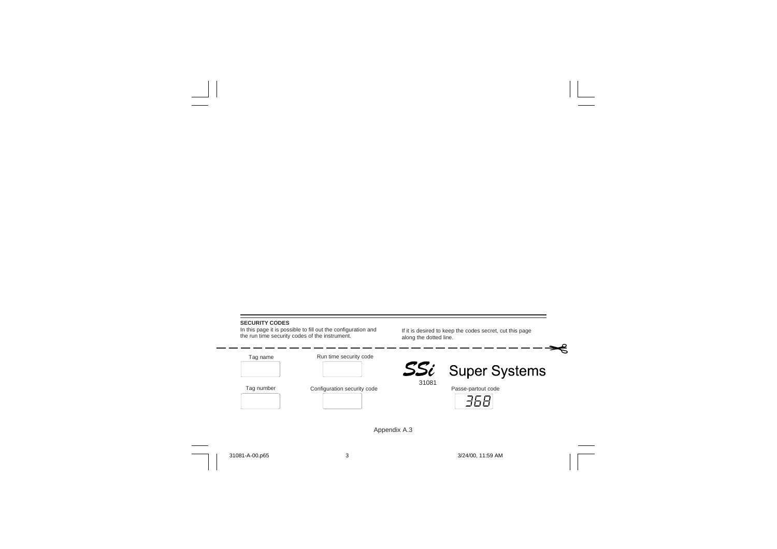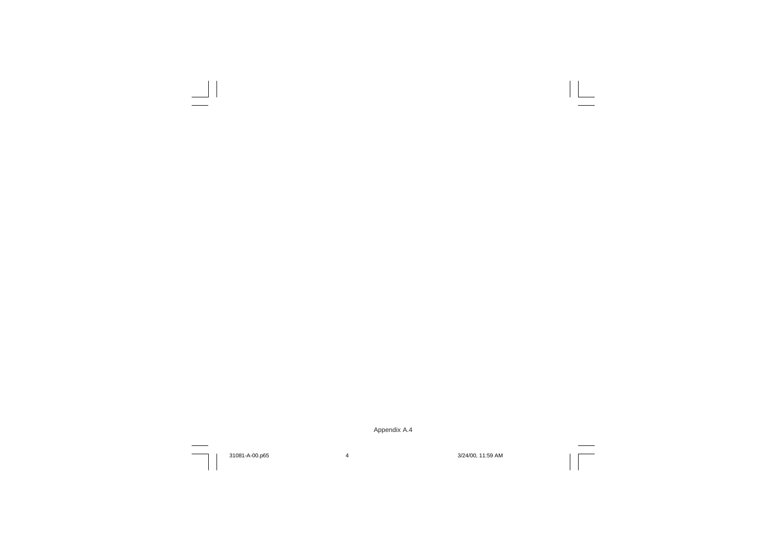Appendix A.4

31081-A-00.p65 4 3/24/00, 11:59 AM

 $\Box$ 

 $\mathbb{R}$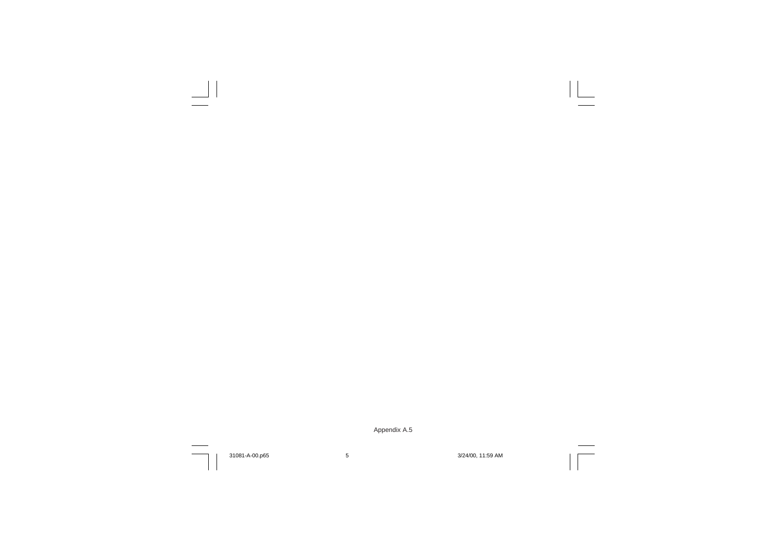# $\Box$

Appendix A.5

31081-A-00.p65 5 3/24/00, 11:59 AM

 $\overline{\Gamma}$